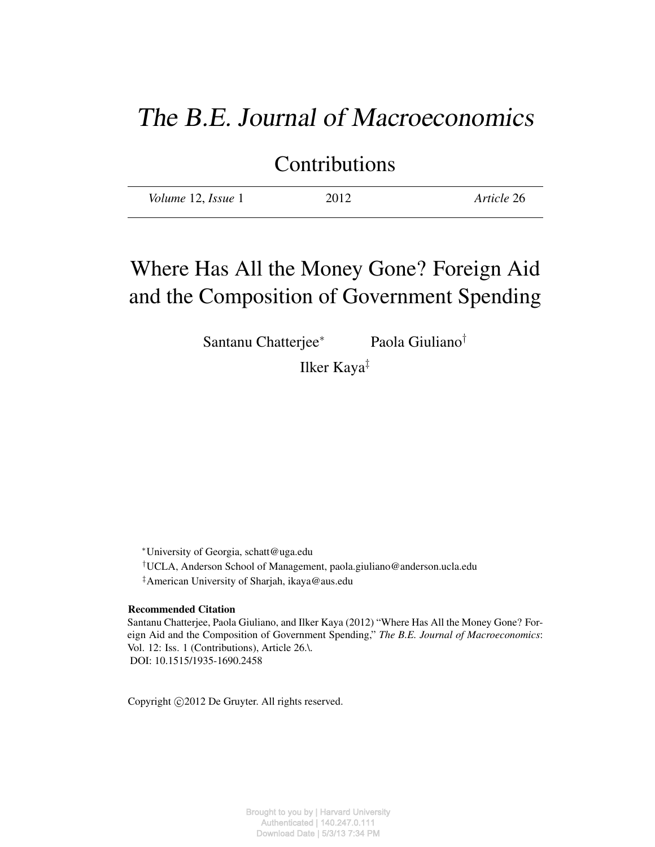# The B.E. Journal of Macroeconomics

Contributions

| Volume 12, Issue 1 | 2012 | Article 26 |
|--------------------|------|------------|
|                    |      |            |

# Where Has All the Money Gone? Foreign Aid and the Composition of Government Spending

Santanu Chatterjee<sup>∗</sup> Paola Giuliano†

Ilker Kaya‡

<sup>∗</sup>University of Georgia, schatt@uga.edu

†UCLA, Anderson School of Management, paola.giuliano@anderson.ucla.edu

‡American University of Sharjah, ikaya@aus.edu

#### Recommended Citation

Santanu Chatterjee, Paola Giuliano, and Ilker Kaya (2012) "Where Has All the Money Gone? Foreign Aid and the Composition of Government Spending," *The B.E. Journal of Macroeconomics*: Vol. 12: Iss. 1 (Contributions), Article 26.\. DOI: 10.1515/1935-1690.2458

Copyright ©2012 De Gruyter. All rights reserved.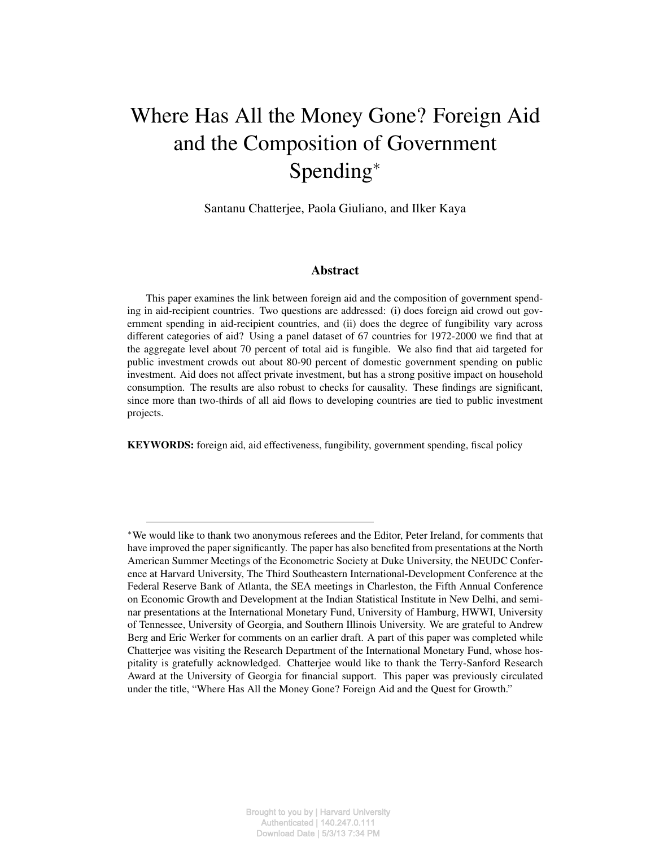# Where Has All the Money Gone? Foreign Aid and the Composition of Government Spending<sup>∗</sup>

Santanu Chatterjee, Paola Giuliano, and Ilker Kaya

### Abstract

This paper examines the link between foreign aid and the composition of government spending in aid-recipient countries. Two questions are addressed: (i) does foreign aid crowd out government spending in aid-recipient countries, and (ii) does the degree of fungibility vary across different categories of aid? Using a panel dataset of 67 countries for 1972-2000 we find that at the aggregate level about 70 percent of total aid is fungible. We also find that aid targeted for public investment crowds out about 80-90 percent of domestic government spending on public investment. Aid does not affect private investment, but has a strong positive impact on household consumption. The results are also robust to checks for causality. These findings are significant, since more than two-thirds of all aid flows to developing countries are tied to public investment projects.

KEYWORDS: foreign aid, aid effectiveness, fungibility, government spending, fiscal policy

<sup>∗</sup>We would like to thank two anonymous referees and the Editor, Peter Ireland, for comments that have improved the paper significantly. The paper has also benefited from presentations at the North American Summer Meetings of the Econometric Society at Duke University, the NEUDC Conference at Harvard University, The Third Southeastern International-Development Conference at the Federal Reserve Bank of Atlanta, the SEA meetings in Charleston, the Fifth Annual Conference on Economic Growth and Development at the Indian Statistical Institute in New Delhi, and seminar presentations at the International Monetary Fund, University of Hamburg, HWWI, University of Tennessee, University of Georgia, and Southern Illinois University. We are grateful to Andrew Berg and Eric Werker for comments on an earlier draft. A part of this paper was completed while Chatterjee was visiting the Research Department of the International Monetary Fund, whose hospitality is gratefully acknowledged. Chatterjee would like to thank the Terry-Sanford Research Award at the University of Georgia for financial support. This paper was previously circulated under the title, "Where Has All the Money Gone? Foreign Aid and the Quest for Growth."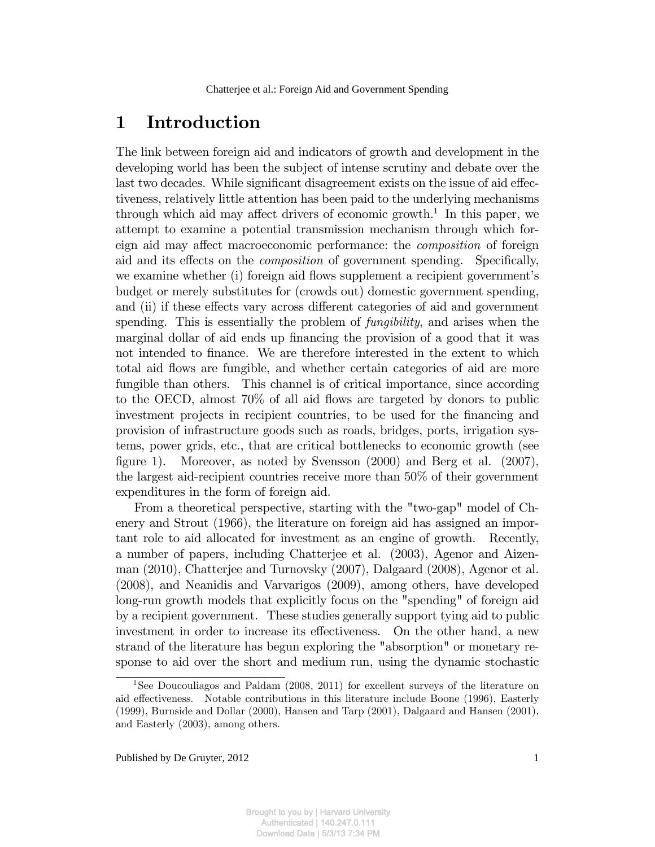## 1 Introduction

The link between foreign aid and indicators of growth and development in the developing world has been the subject of intense scrutiny and debate over the last two decades. While significant disagreement exists on the issue of aid effectiveness, relatively little attention has been paid to the underlying mechanisms through which aid may affect drivers of economic growth.<sup>1</sup> In this paper, we attempt to examine a potential transmission mechanism through which foreign aid may affect macroeconomic performance: the *composition* of foreign aid and its effects on the *composition* of government spending. Specifically, we examine whether (i) foreign aid flows supplement a recipient government's budget or merely substitutes for (crowds out) domestic government spending, and (ii) if these effects vary across different categories of aid and government spending. This is essentially the problem of *fungibility*, and arises when the marginal dollar of aid ends up financing the provision of a good that it was not intended to Önance. We are therefore interested in the extent to which total aid flows are fungible, and whether certain categories of aid are more fungible than others. This channel is of critical importance, since according to the OECD, almost  $70\%$  of all aid flows are targeted by donors to public investment projects in recipient countries, to be used for the financing and provision of infrastructure goods such as roads, bridges, ports, irrigation systems, power grids, etc., that are critical bottlenecks to economic growth (see figure 1). Moreover, as noted by Svensson  $(2000)$  and Berg et al.  $(2007)$ , the largest aid-recipient countries receive more than 50% of their government expenditures in the form of foreign aid.

From a theoretical perspective, starting with the "two-gap" model of Chenery and Strout (1966), the literature on foreign aid has assigned an important role to aid allocated for investment as an engine of growth. Recently, a number of papers, including Chatterjee et al. (2003), Agenor and Aizenman (2010), Chatterjee and Turnovsky (2007), Dalgaard (2008), Agenor et al. (2008), and Neanidis and Varvarigos (2009), among others, have developed long-run growth models that explicitly focus on the "spending" of foreign aid by a recipient government. These studies generally support tying aid to public investment in order to increase its effectiveness. On the other hand, a new strand of the literature has begun exploring the "absorption" or monetary response to aid over the short and medium run, using the dynamic stochastic

<sup>&</sup>lt;sup>1</sup>See Doucouliagos and Paldam (2008, 2011) for excellent surveys of the literature on aid effectiveness. Notable contributions in this literature include Boone (1996), Easterly (1999), Burnside and Dollar (2000), Hansen and Tarp (2001), Dalgaard and Hansen (2001), and Easterly (2003), among others.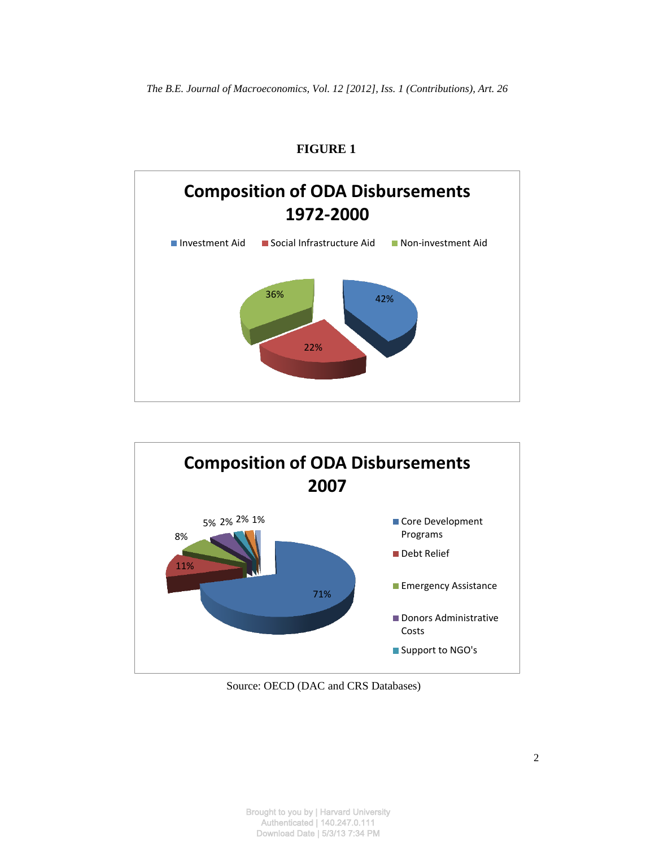

## **FIGURE 1**



Source: OECD (DAC and CRS Databases)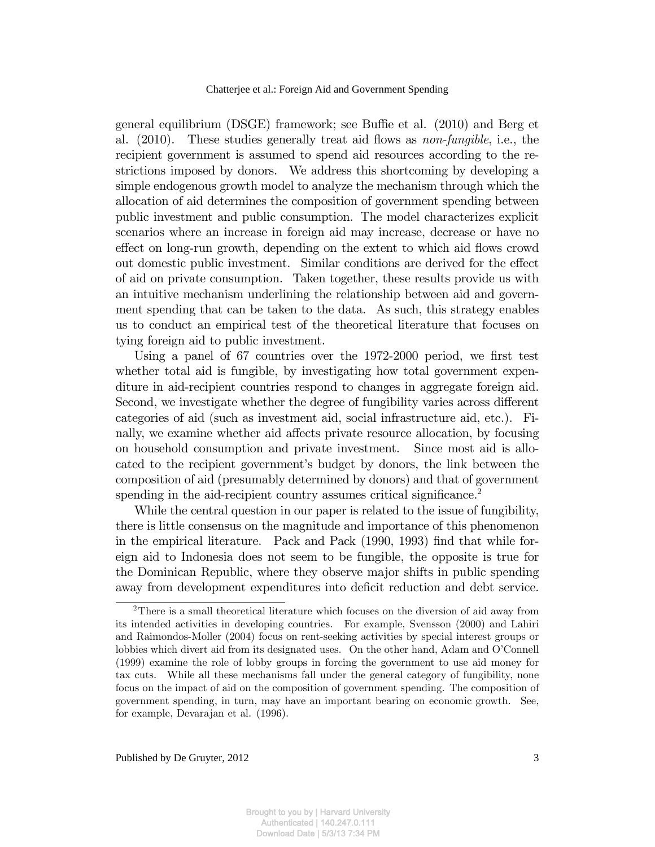general equilibrium (DSGE) framework; see Buffie et al.  $(2010)$  and Berg et al.  $(2010)$ . These studies generally treat aid flows as *non-fungible*, i.e., the recipient government is assumed to spend aid resources according to the restrictions imposed by donors. We address this shortcoming by developing a simple endogenous growth model to analyze the mechanism through which the allocation of aid determines the composition of government spending between public investment and public consumption. The model characterizes explicit scenarios where an increase in foreign aid may increase, decrease or have no effect on long-run growth, depending on the extent to which aid flows crowd out domestic public investment. Similar conditions are derived for the effect of aid on private consumption. Taken together, these results provide us with an intuitive mechanism underlining the relationship between aid and government spending that can be taken to the data. As such, this strategy enables us to conduct an empirical test of the theoretical literature that focuses on tying foreign aid to public investment.

Using a panel of 67 countries over the 1972-2000 period, we first test whether total aid is fungible, by investigating how total government expenditure in aid-recipient countries respond to changes in aggregate foreign aid. Second, we investigate whether the degree of fungibility varies across different categories of aid (such as investment aid, social infrastructure aid, etc.). Finally, we examine whether aid affects private resource allocation, by focusing on household consumption and private investment. Since most aid is allocated to the recipient government's budget by donors, the link between the composition of aid (presumably determined by donors) and that of government spending in the aid-recipient country assumes critical significance.<sup>2</sup>

While the central question in our paper is related to the issue of fungibility, there is little consensus on the magnitude and importance of this phenomenon in the empirical literature. Pack and Pack (1990, 1993) find that while foreign aid to Indonesia does not seem to be fungible, the opposite is true for the Dominican Republic, where they observe major shifts in public spending away from development expenditures into deficit reduction and debt service.

<sup>&</sup>lt;sup>2</sup>There is a small theoretical literature which focuses on the diversion of aid away from its intended activities in developing countries. For example, Svensson (2000) and Lahiri and Raimondos-Moller (2004) focus on rent-seeking activities by special interest groups or lobbies which divert aid from its designated uses. On the other hand, Adam and O'Connell (1999) examine the role of lobby groups in forcing the government to use aid money for tax cuts. While all these mechanisms fall under the general category of fungibility, none focus on the impact of aid on the composition of government spending. The composition of government spending, in turn, may have an important bearing on economic growth. See, for example, Devarajan et al. (1996).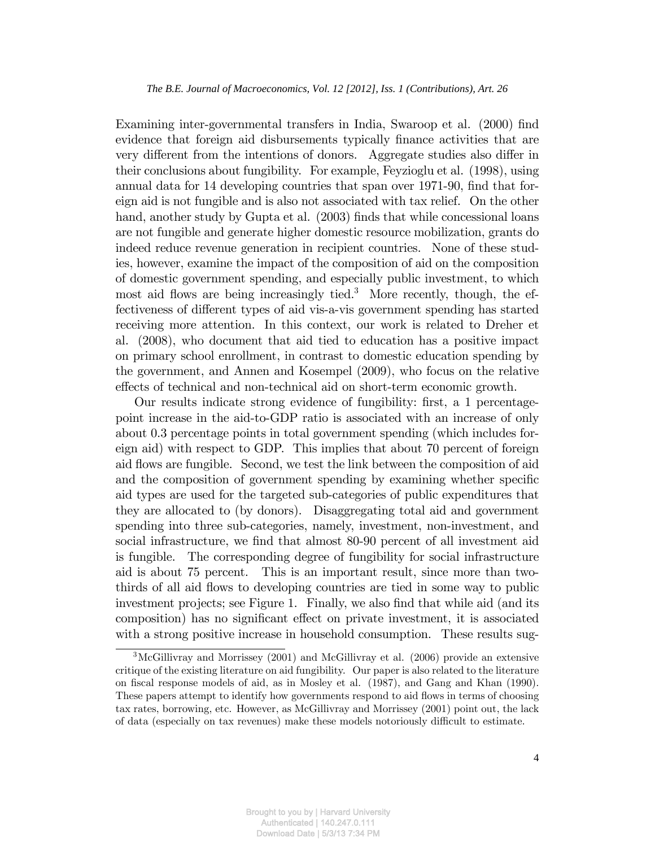Examining inter-governmental transfers in India, Swaroop et al. (2000) find evidence that foreign aid disbursements typically finance activities that are very different from the intentions of donors. Aggregate studies also differ in their conclusions about fungibility. For example, Feyzioglu et al. (1998), using annual data for 14 developing countries that span over 1971-90, find that foreign aid is not fungible and is also not associated with tax relief. On the other hand, another study by Gupta et al. (2003) finds that while concessional loans are not fungible and generate higher domestic resource mobilization, grants do indeed reduce revenue generation in recipient countries. None of these studies, however, examine the impact of the composition of aid on the composition of domestic government spending, and especially public investment, to which most aid flows are being increasingly tied.<sup>3</sup> More recently, though, the effectiveness of different types of aid vis-a-vis government spending has started receiving more attention. In this context, our work is related to Dreher et al. (2008), who document that aid tied to education has a positive impact on primary school enrollment, in contrast to domestic education spending by the government, and Annen and Kosempel (2009), who focus on the relative effects of technical and non-technical aid on short-term economic growth.

Our results indicate strong evidence of fungibility: first, a 1 percentagepoint increase in the aid-to-GDP ratio is associated with an increase of only about 0.3 percentage points in total government spending (which includes foreign aid) with respect to GDP. This implies that about 70 percent of foreign aid flows are fungible. Second, we test the link between the composition of aid and the composition of government spending by examining whether specific aid types are used for the targeted sub-categories of public expenditures that they are allocated to (by donors). Disaggregating total aid and government spending into three sub-categories, namely, investment, non-investment, and social infrastructure, we find that almost 80-90 percent of all investment aid is fungible. The corresponding degree of fungibility for social infrastructure aid is about 75 percent. This is an important result, since more than twothirds of all aid flows to developing countries are tied in some way to public investment projects; see Figure 1. Finally, we also find that while aid (and its composition) has no significant effect on private investment, it is associated with a strong positive increase in household consumption. These results sug-

<sup>3</sup>McGillivray and Morrissey (2001) and McGillivray et al. (2006) provide an extensive critique of the existing literature on aid fungibility. Our paper is also related to the literature on Öscal response models of aid, as in Mosley et al. (1987), and Gang and Khan (1990). These papers attempt to identify how governments respond to aid flows in terms of choosing tax rates, borrowing, etc. However, as McGillivray and Morrissey (2001) point out, the lack of data (especially on tax revenues) make these models notoriously difficult to estimate.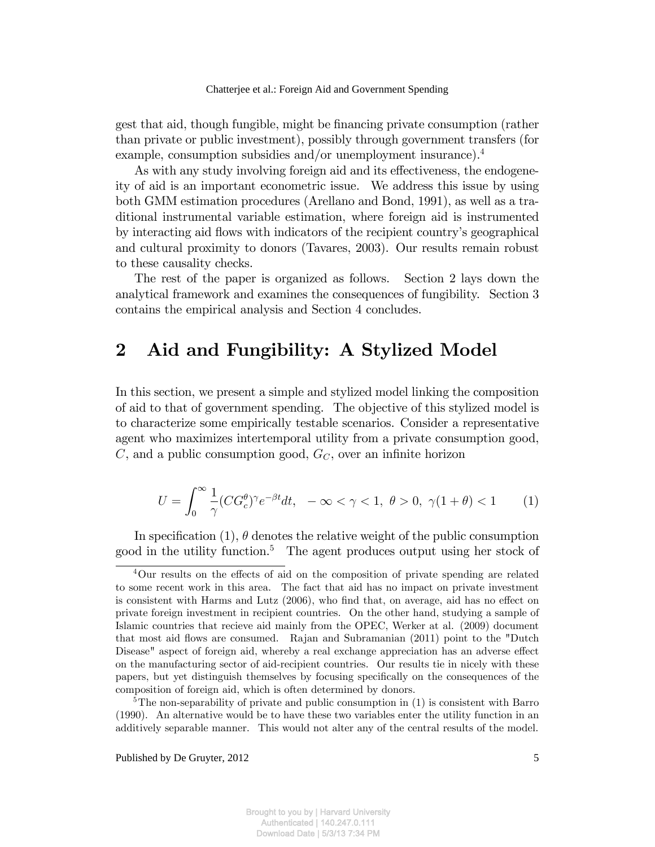gest that aid, though fungible, might be Önancing private consumption (rather than private or public investment), possibly through government transfers (for example, consumption subsidies and/or unemployment insurance).<sup>4</sup>

As with any study involving foreign aid and its effectiveness, the endogeneity of aid is an important econometric issue. We address this issue by using both GMM estimation procedures (Arellano and Bond, 1991), as well as a traditional instrumental variable estimation, where foreign aid is instrumented by interacting aid flows with indicators of the recipient country's geographical and cultural proximity to donors (Tavares, 2003). Our results remain robust to these causality checks.

The rest of the paper is organized as follows. Section 2 lays down the analytical framework and examines the consequences of fungibility. Section 3 contains the empirical analysis and Section 4 concludes.

## 2 Aid and Fungibility: A Stylized Model

In this section, we present a simple and stylized model linking the composition of aid to that of government spending. The objective of this stylized model is to characterize some empirically testable scenarios. Consider a representative agent who maximizes intertemporal utility from a private consumption good,  $C$ , and a public consumption good,  $G_C$ , over an infinite horizon

$$
U = \int_0^\infty \frac{1}{\gamma} (CG_c^{\theta})^{\gamma} e^{-\beta t} dt, \quad -\infty < \gamma < 1, \ \theta > 0, \ \gamma(1 + \theta) < 1 \tag{1}
$$

In specification (1),  $\theta$  denotes the relative weight of the public consumption good in the utility function.<sup>5</sup> The agent produces output using her stock of

<sup>&</sup>lt;sup>4</sup>Our results on the effects of aid on the composition of private spending are related to some recent work in this area. The fact that aid has no impact on private investment is consistent with Harms and Lutz  $(2006)$ , who find that, on average, aid has no effect on private foreign investment in recipient countries. On the other hand, studying a sample of Islamic countries that recieve aid mainly from the OPEC, Werker at al. (2009) document that most aid flows are consumed. Rajan and Subramanian  $(2011)$  point to the "Dutch" Disease" aspect of foreign aid, whereby a real exchange appreciation has an adverse effect on the manufacturing sector of aid-recipient countries. Our results tie in nicely with these papers, but yet distinguish themselves by focusing specifically on the consequences of the composition of foreign aid, which is often determined by donors.

<sup>&</sup>lt;sup>5</sup>The non-separability of private and public consumption in  $(1)$  is consistent with Barro (1990). An alternative would be to have these two variables enter the utility function in an additively separable manner. This would not alter any of the central results of the model.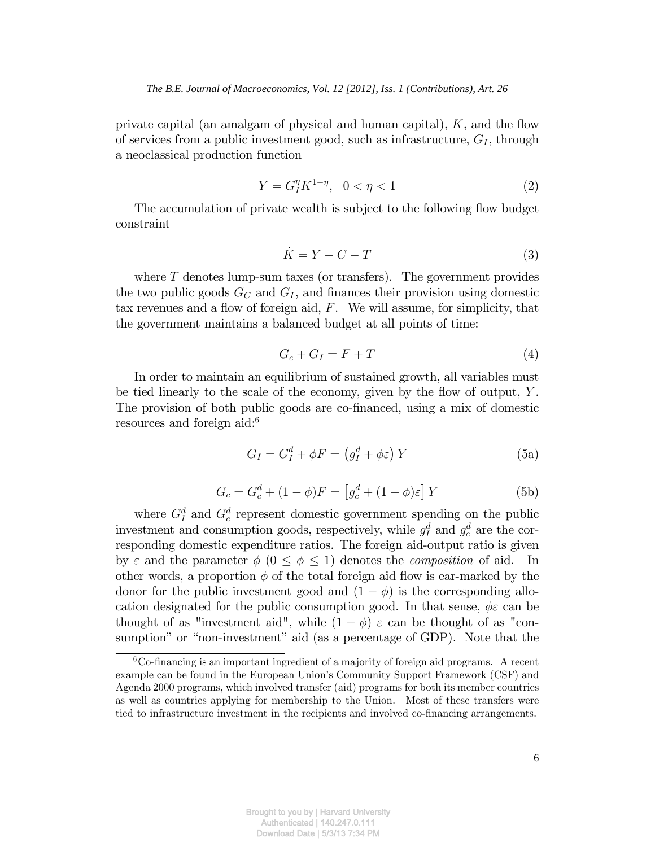private capital (an amalgam of physical and human capital),  $K$ , and the flow of services from a public investment good, such as infrastructure,  $G_I$ , through a neoclassical production function

$$
Y = G_I^{\eta} K^{1-\eta}, \ \ 0 < \eta < 1 \tag{2}
$$

The accumulation of private wealth is subject to the following flow budget constraint

$$
\dot{K} = Y - C - T \tag{3}
$$

where T denotes lump-sum taxes (or transfers). The government provides the two public goods  $G_C$  and  $G_I$ , and finances their provision using domestic tax revenues and a flow of foreign aid,  $F$ . We will assume, for simplicity, that the government maintains a balanced budget at all points of time:

$$
G_c + G_I = F + T \tag{4}
$$

In order to maintain an equilibrium of sustained growth, all variables must be tied linearly to the scale of the economy, given by the flow of output,  $Y$ . The provision of both public goods are co-financed, using a mix of domestic resources and foreign aid:<sup>6</sup>

$$
G_I = G_I^d + \phi F = \left(g_I^d + \phi \varepsilon\right) Y \tag{5a}
$$

$$
G_c = G_c^d + (1 - \phi)F = \left[g_c^d + (1 - \phi)\varepsilon\right]Y
$$
 (5b)

where  $G_I^d$  and  $G_c^d$  represent domestic government spending on the public investment and consumption goods, respectively, while  $g_I^d$  and  $g_c^d$  are the corresponding domestic expenditure ratios. The foreign aid-output ratio is given by  $\varepsilon$  and the parameter  $\phi$   $(0 \le \phi \le 1)$  denotes the *composition* of aid. In other words, a proportion  $\phi$  of the total foreign aid flow is ear-marked by the donor for the public investment good and  $(1 - \phi)$  is the corresponding allocation designated for the public consumption good. In that sense,  $\phi \varepsilon$  can be thought of as "investment aid", while  $(1 - \phi) \varepsilon$  can be thought of as "consumption" or "non-investment" aid (as a percentage of GDP). Note that the

 ${}^{6}$ Co-financing is an important ingredient of a majority of foreign aid programs. A recent example can be found in the European Union's Community Support Framework (CSF) and Agenda 2000 programs, which involved transfer (aid) programs for both its member countries as well as countries applying for membership to the Union. Most of these transfers were tied to infrastructure investment in the recipients and involved co-financing arrangements.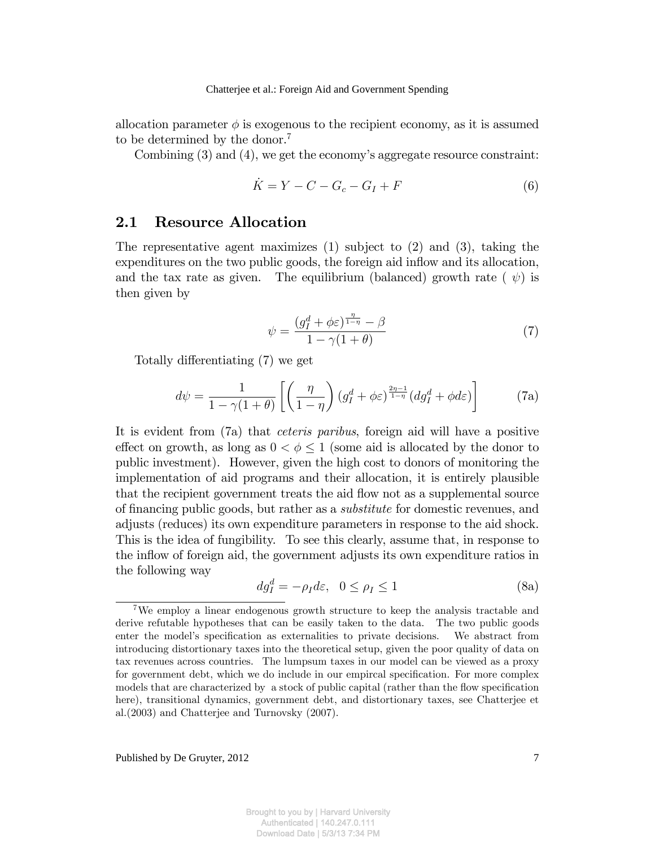allocation parameter  $\phi$  is exogenous to the recipient economy, as it is assumed to be determined by the donor.<sup>7</sup>

Combining  $(3)$  and  $(4)$ , we get the economy's aggregate resource constraint:

$$
\dot{K} = Y - C - G_c - G_I + F \tag{6}
$$

## 2.1 Resource Allocation

The representative agent maximizes (1) subject to (2) and (3), taking the expenditures on the two public goods, the foreign aid inflow and its allocation, and the tax rate as given. The equilibrium (balanced) growth rate ( $\psi$ ) is then given by

$$
\psi = \frac{(g_I^d + \phi \varepsilon)^{\frac{\eta}{1-\eta}} - \beta}{1 - \gamma(1+\theta)}\tag{7}
$$

Totally differentiating (7) we get

$$
d\psi = \frac{1}{1 - \gamma(1 + \theta)} \left[ \left( \frac{\eta}{1 - \eta} \right) \left( g_I^d + \phi \varepsilon \right)^{\frac{2\eta - 1}{1 - \eta}} \left( dg_I^d + \phi d\varepsilon \right) \right]
$$
(7a)

It is evident from (7a) that ceteris paribus, foreign aid will have a positive effect on growth, as long as  $0 < \phi \leq 1$  (some aid is allocated by the donor to public investment). However, given the high cost to donors of monitoring the implementation of aid programs and their allocation, it is entirely plausible that the recipient government treats the aid flow not as a supplemental source of financing public goods, but rather as a *substitute* for domestic revenues, and adjusts (reduces) its own expenditure parameters in response to the aid shock. This is the idea of fungibility. To see this clearly, assume that, in response to the inflow of foreign aid, the government adjusts its own expenditure ratios in the following way

$$
dg_I^d = -\rho_I d\varepsilon, \ \ 0 \le \rho_I \le 1 \tag{8a}
$$

<sup>7</sup>We employ a linear endogenous growth structure to keep the analysis tractable and derive refutable hypotheses that can be easily taken to the data. The two public goods enter the model's specification as externalities to private decisions. We abstract from introducing distortionary taxes into the theoretical setup, given the poor quality of data on tax revenues across countries. The lumpsum taxes in our model can be viewed as a proxy for government debt, which we do include in our empircal specification. For more complex models that are characterized by a stock of public capital (rather than the flow specification here), transitional dynamics, government debt, and distortionary taxes, see Chatterjee et al.(2003) and Chatterjee and Turnovsky (2007).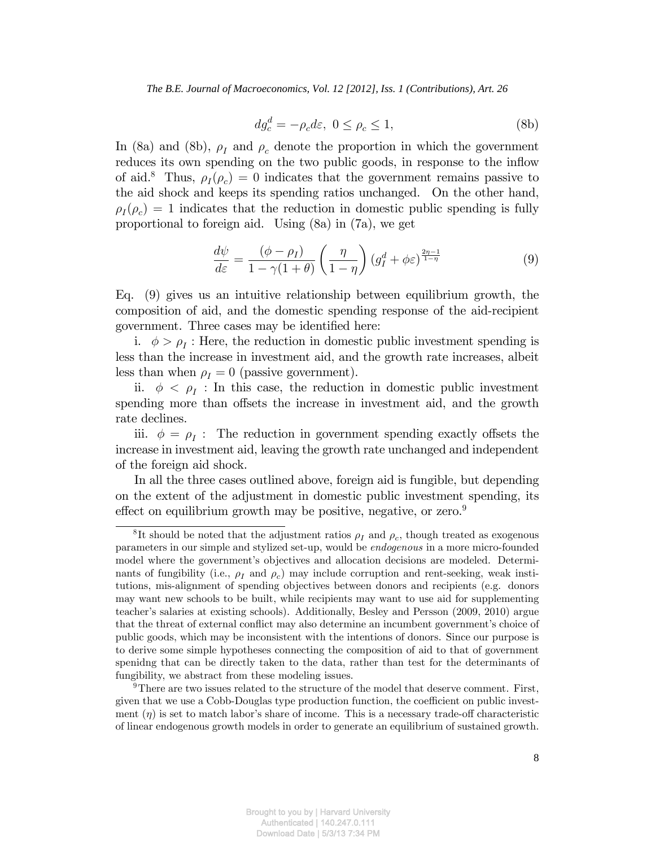*The B.E. Journal of Macroeconomics, Vol. 12 [2012], Iss. 1 (Contributions), Art. 26*

$$
dg_c^d = -\rho_c d\varepsilon, \ 0 \le \rho_c \le 1,
$$
 (8b)

In (8a) and (8b),  $\rho_I$  and  $\rho_c$  denote the proportion in which the government reduces its own spending on the two public goods, in response to the inflow of aid.<sup>8</sup> Thus,  $\rho_I(\rho_c) = 0$  indicates that the government remains passive to the aid shock and keeps its spending ratios unchanged. On the other hand,  $\rho_I(\rho_c) = 1$  indicates that the reduction in domestic public spending is fully proportional to foreign aid. Using (8a) in (7a), we get

$$
\frac{d\psi}{d\varepsilon} = \frac{(\phi - \rho_I)}{1 - \gamma(1 + \theta)} \left(\frac{\eta}{1 - \eta}\right) \left(g_I^d + \phi \varepsilon\right)^{\frac{2\eta - 1}{1 - \eta}} \tag{9}
$$

Eq. (9) gives us an intuitive relationship between equilibrium growth, the composition of aid, and the domestic spending response of the aid-recipient government. Three cases may be identified here:

i.  $\phi > \rho_I$ : Here, the reduction in domestic public investment spending is less than the increase in investment aid, and the growth rate increases, albeit less than when  $\rho_I = 0$  (passive government).

ii.  $\phi < \rho_I$ : In this case, the reduction in domestic public investment spending more than offsets the increase in investment aid, and the growth rate declines.

iii.  $\phi = \rho_I$ : The reduction in government spending exactly offsets the increase in investment aid, leaving the growth rate unchanged and independent of the foreign aid shock.

In all the three cases outlined above, foreign aid is fungible, but depending on the extent of the adjustment in domestic public investment spending, its effect on equilibrium growth may be positive, negative, or zero. $9$ 

<sup>&</sup>lt;sup>8</sup>It should be noted that the adjustment ratios  $\rho_I$  and  $\rho_c$ , though treated as exogenous parameters in our simple and stylized set-up, would be endogenous in a more micro-founded model where the government's objectives and allocation decisions are modeled. Determinants of fungibility (i.e.,  $\rho_I$  and  $\rho_c$ ) may include corruption and rent-seeking, weak institutions, mis-alignment of spending objectives between donors and recipients (e.g. donors may want new schools to be built, while recipients may want to use aid for supplementing teacher's salaries at existing schools). Additionally, Besley and Persson (2009, 2010) argue that the threat of external conflict may also determine an incumbent government's choice of public goods, which may be inconsistent with the intentions of donors. Since our purpose is to derive some simple hypotheses connecting the composition of aid to that of government spenidng that can be directly taken to the data, rather than test for the determinants of fungibility, we abstract from these modeling issues.

<sup>&</sup>lt;sup>9</sup>There are two issues related to the structure of the model that deserve comment. First, given that we use a Cobb-Douglas type production function, the coefficient on public investment  $(\eta)$  is set to match labor's share of income. This is a necessary trade-off characteristic of linear endogenous growth models in order to generate an equilibrium of sustained growth.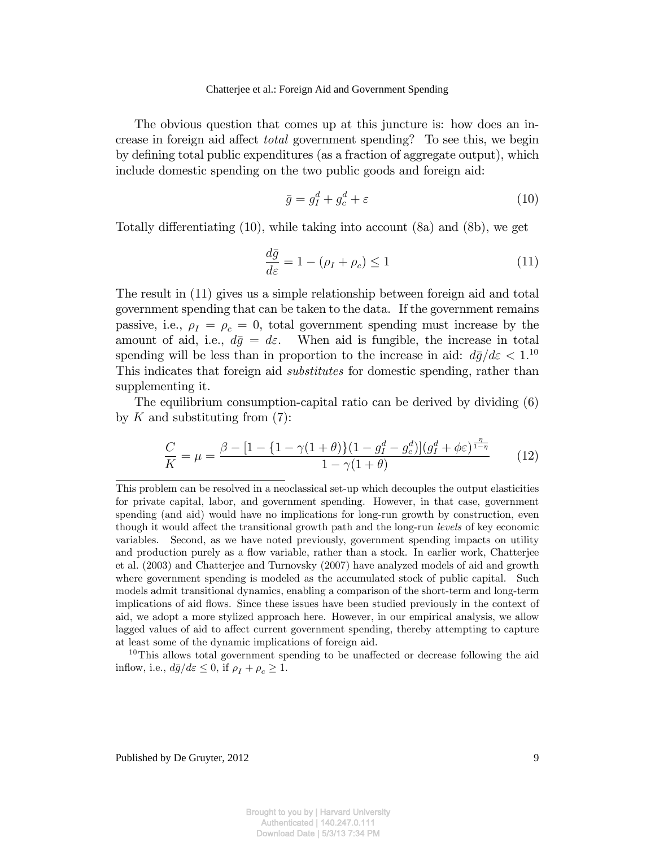The obvious question that comes up at this juncture is: how does an increase in foreign aid affect *total* government spending? To see this, we begin by defining total public expenditures (as a fraction of aggregate output), which include domestic spending on the two public goods and foreign aid:

$$
\bar{g} = g_I^d + g_c^d + \varepsilon \tag{10}
$$

Totally differentiating  $(10)$ , while taking into account  $(8a)$  and  $(8b)$ , we get

$$
\frac{d\bar{g}}{d\varepsilon} = 1 - (\rho_I + \rho_c) \le 1\tag{11}
$$

The result in (11) gives us a simple relationship between foreign aid and total government spending that can be taken to the data. If the government remains passive, i.e.,  $\rho_I = \rho_c = 0$ , total government spending must increase by the amount of aid, i.e.,  $d\bar{g} = d\varepsilon$ . When aid is fungible, the increase in total spending will be less than in proportion to the increase in aid:  $d\bar{g}/d\varepsilon < 1$ .<sup>10</sup> This indicates that foreign aid substitutes for domestic spending, rather than supplementing it.

The equilibrium consumption-capital ratio can be derived by dividing (6) by  $K$  and substituting from  $(7)$ :

$$
\frac{C}{K} = \mu = \frac{\beta - [1 - \{1 - \gamma(1 + \theta)\}(1 - g_I^d - g_c^d)](g_I^d + \phi \varepsilon)^{\frac{\eta}{1 - \eta}}}{1 - \gamma(1 + \theta)}
$$
(12)

This problem can be resolved in a neoclassical set-up which decouples the output elasticities for private capital, labor, and government spending. However, in that case, government spending (and aid) would have no implications for long-run growth by construction, even though it would affect the transitional growth path and the long-run *levels* of key economic variables. Second, as we have noted previously, government spending impacts on utility and production purely as a flow variable, rather than a stock. In earlier work, Chatterjee et al. (2003) and Chatterjee and Turnovsky (2007) have analyzed models of aid and growth where government spending is modeled as the accumulated stock of public capital. Such models admit transitional dynamics, enabling a comparison of the short-term and long-term implications of aid áows. Since these issues have been studied previously in the context of aid, we adopt a more stylized approach here. However, in our empirical analysis, we allow lagged values of aid to affect current government spending, thereby attempting to capture at least some of the dynamic implications of foreign aid.

 $10$ This allows total government spending to be unaffected or decrease following the aid inflow, i.e.,  $d\bar{g}/d\varepsilon \leq 0$ , if  $\rho_I + \rho_c \geq 1$ .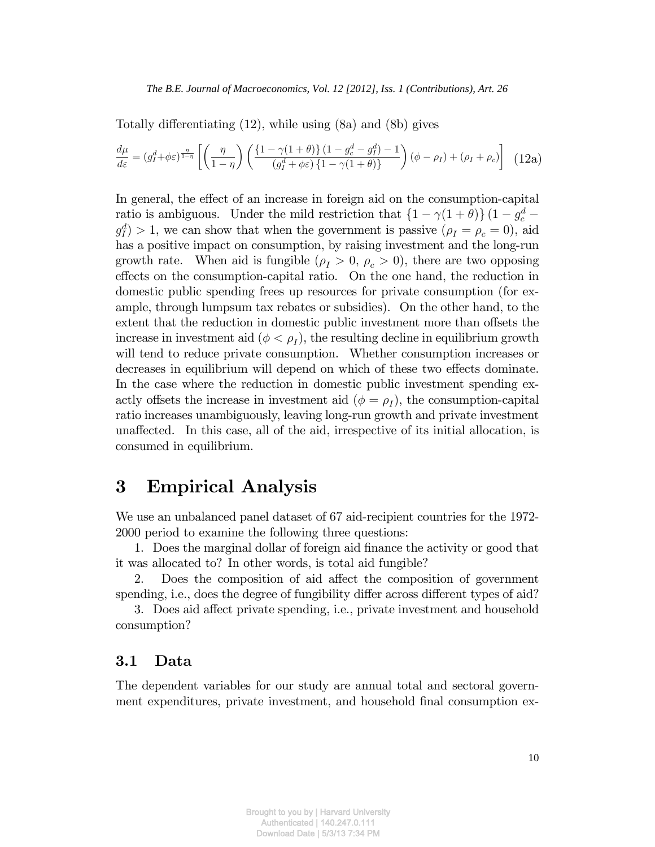Totally differentiating  $(12)$ , while using  $(8a)$  and  $(8b)$  gives

$$
\frac{d\mu}{d\varepsilon} = (g_I^d + \phi \varepsilon)^{\frac{\eta}{1-\eta}} \left[ \left( \frac{\eta}{1-\eta} \right) \left( \frac{\left\{1-\gamma(1+\theta)\right\}(1-g_c^d - g_I^d) - 1}{\left(g_I^d + \phi \varepsilon\right)\left\{1-\gamma(1+\theta)\right\}} \right) (\phi - \rho_I) + (\rho_I + \rho_c) \right] (12a)
$$

In general, the effect of an increase in foreign aid on the consumption-capital ratio is ambiguous. Under the mild restriction that  $\left\{1 - \gamma(1 + \theta)\right\}(1 - g_c^d$  $g_I^d$  > 1, we can show that when the government is passive  $(\rho_I = \rho_c = 0)$ , aid has a positive impact on consumption, by raising investment and the long-run growth rate. When aid is fungible  $(\rho_I > 0, \rho_c > 0)$ , there are two opposing effects on the consumption-capital ratio. On the one hand, the reduction in domestic public spending frees up resources for private consumption (for example, through lumpsum tax rebates or subsidies). On the other hand, to the extent that the reduction in domestic public investment more than offsets the increase in investment aid  $(\phi < \rho_I)$ , the resulting decline in equilibrium growth will tend to reduce private consumption. Whether consumption increases or decreases in equilibrium will depend on which of these two effects dominate. In the case where the reduction in domestic public investment spending exactly offsets the increase in investment aid  $(\phi = \rho_I)$ , the consumption-capital ratio increases unambiguously, leaving long-run growth and private investment unaffected. In this case, all of the aid, irrespective of its initial allocation, is consumed in equilibrium.

## 3 Empirical Analysis

We use an unbalanced panel dataset of 67 aid-recipient countries for the 1972- 2000 period to examine the following three questions:

1. Does the marginal dollar of foreign aid Önance the activity or good that it was allocated to? In other words, is total aid fungible?

2. Does the composition of aid affect the composition of government spending, i.e., does the degree of fungibility differ across different types of aid?

3. Does aid affect private spending, i.e., private investment and household consumption?

## 3.1 Data

The dependent variables for our study are annual total and sectoral government expenditures, private investment, and household final consumption ex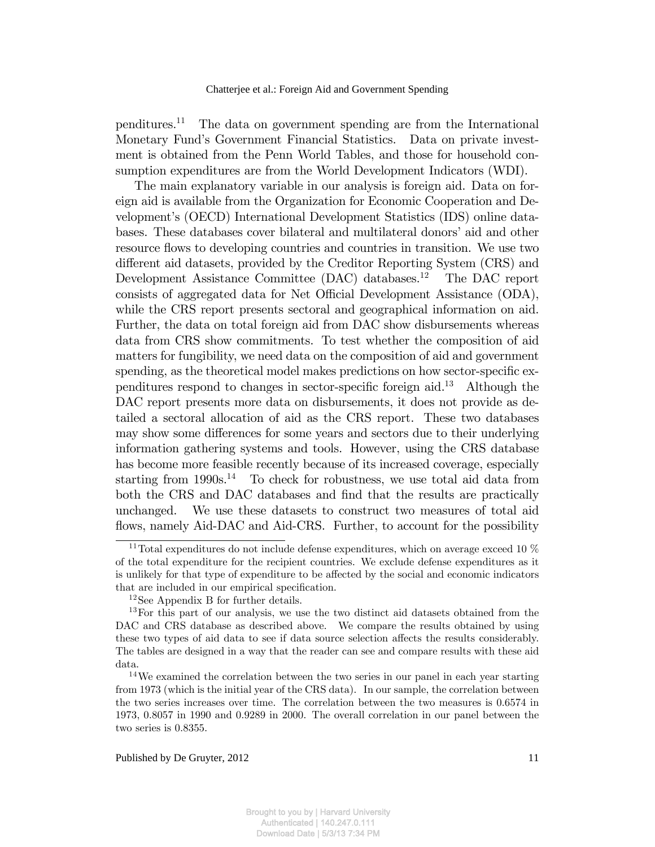penditures.<sup>11</sup> The data on government spending are from the International Monetary Fundís Government Financial Statistics. Data on private investment is obtained from the Penn World Tables, and those for household consumption expenditures are from the World Development Indicators (WDI).

The main explanatory variable in our analysis is foreign aid. Data on foreign aid is available from the Organization for Economic Cooperation and Developmentís (OECD) International Development Statistics (IDS) online databases. These databases cover bilateral and multilateral donors' aid and other resource flows to developing countries and countries in transition. We use two different aid datasets, provided by the Creditor Reporting System (CRS) and Development Assistance Committee (DAC) databases.<sup>12</sup> The DAC report consists of aggregated data for Net Official Development Assistance (ODA), while the CRS report presents sectoral and geographical information on aid. Further, the data on total foreign aid from DAC show disbursements whereas data from CRS show commitments. To test whether the composition of aid matters for fungibility, we need data on the composition of aid and government spending, as the theoretical model makes predictions on how sector-specific expenditures respond to changes in sector-specific foreign aid.<sup>13</sup> Although the DAC report presents more data on disbursements, it does not provide as detailed a sectoral allocation of aid as the CRS report. These two databases may show some differences for some years and sectors due to their underlying information gathering systems and tools. However, using the CRS database has become more feasible recently because of its increased coverage, especially starting from  $1990s<sup>14</sup>$  To check for robustness, we use total aid data from both the CRS and DAC databases and find that the results are practically unchanged. We use these datasets to construct two measures of total aid flows, namely Aid-DAC and Aid-CRS. Further, to account for the possibility

<sup>&</sup>lt;sup>11</sup>Total expenditures do not include defense expenditures, which on average exceed 10  $\%$ of the total expenditure for the recipient countries. We exclude defense expenditures as it is unlikely for that type of expenditure to be affected by the social and economic indicators that are included in our empirical specification.

<sup>12</sup>See Appendix B for further details.

<sup>&</sup>lt;sup>13</sup>For this part of our analysis, we use the two distinct aid datasets obtained from the DAC and CRS database as described above. We compare the results obtained by using these two types of aid data to see if data source selection affects the results considerably. The tables are designed in a way that the reader can see and compare results with these aid data.

<sup>14</sup>We examined the correlation between the two series in our panel in each year starting from 1973 (which is the initial year of the CRS data). In our sample, the correlation between the two series increases over time. The correlation between the two measures is 0.6574 in 1973, 0.8057 in 1990 and 0.9289 in 2000. The overall correlation in our panel between the two series is 0.8355.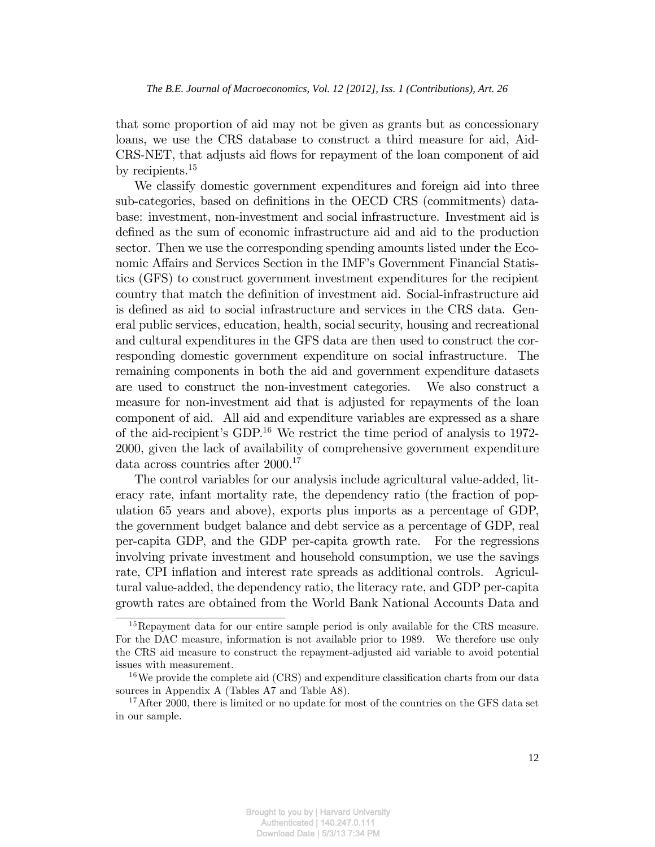that some proportion of aid may not be given as grants but as concessionary loans, we use the CRS database to construct a third measure for aid, Aid-CRS-NET, that adjusts aid flows for repayment of the loan component of aid by recipients.<sup>15</sup>

We classify domestic government expenditures and foreign aid into three sub-categories, based on definitions in the OECD CRS (commitments) database: investment, non-investment and social infrastructure. Investment aid is defined as the sum of economic infrastructure aid and aid to the production sector. Then we use the corresponding spending amounts listed under the Economic Affairs and Services Section in the IMF's Government Financial Statistics (GFS) to construct government investment expenditures for the recipient country that match the definition of investment aid. Social-infrastructure aid is defined as aid to social infrastructure and services in the CRS data. General public services, education, health, social security, housing and recreational and cultural expenditures in the GFS data are then used to construct the corresponding domestic government expenditure on social infrastructure. The remaining components in both the aid and government expenditure datasets are used to construct the non-investment categories. We also construct a measure for non-investment aid that is adjusted for repayments of the loan component of aid. All aid and expenditure variables are expressed as a share of the aid-recipient's GDP.<sup>16</sup> We restrict the time period of analysis to 1972-2000, given the lack of availability of comprehensive government expenditure data across countries after 2000.<sup>17</sup>

The control variables for our analysis include agricultural value-added, literacy rate, infant mortality rate, the dependency ratio (the fraction of population 65 years and above), exports plus imports as a percentage of GDP, the government budget balance and debt service as a percentage of GDP, real per-capita GDP, and the GDP per-capita growth rate. For the regressions involving private investment and household consumption, we use the savings rate, CPI inflation and interest rate spreads as additional controls. Agricultural value-added, the dependency ratio, the literacy rate, and GDP per-capita growth rates are obtained from the World Bank National Accounts Data and

<sup>15</sup>Repayment data for our entire sample period is only available for the CRS measure. For the DAC measure, information is not available prior to 1989. We therefore use only the CRS aid measure to construct the repayment-adjusted aid variable to avoid potential issues with measurement.

 $16$ We provide the complete aid (CRS) and expenditure classification charts from our data sources in Appendix A (Tables A7 and Table A8).

<sup>&</sup>lt;sup>17</sup>After 2000, there is limited or no update for most of the countries on the GFS data set in our sample.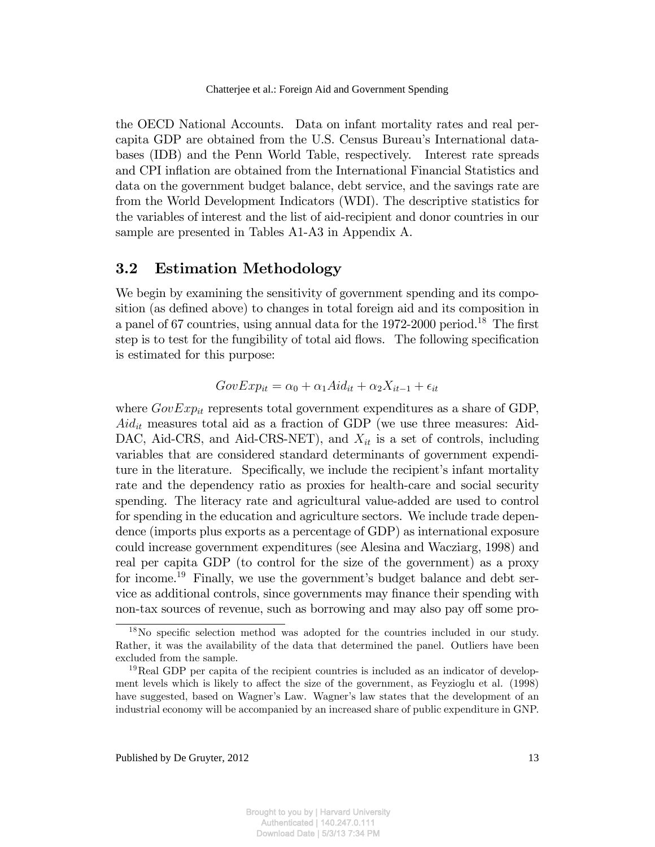the OECD National Accounts. Data on infant mortality rates and real percapita GDP are obtained from the U.S. Census Bureauís International databases (IDB) and the Penn World Table, respectively. Interest rate spreads and CPI inflation are obtained from the International Financial Statistics and data on the government budget balance, debt service, and the savings rate are from the World Development Indicators (WDI). The descriptive statistics for the variables of interest and the list of aid-recipient and donor countries in our sample are presented in Tables A1-A3 in Appendix A.

## 3.2 Estimation Methodology

We begin by examining the sensitivity of government spending and its composition (as defined above) to changes in total foreign aid and its composition in a panel of 67 countries, using annual data for the 1972-2000 period.<sup>18</sup> The first step is to test for the fungibility of total aid flows. The following specification is estimated for this purpose:

$$
GovExp_{it} = \alpha_0 + \alpha_1 A id_{it} + \alpha_2 X_{it-1} + \epsilon_{it}
$$

where  $GovExp_{it}$  represents total government expenditures as a share of GDP,  $Aid_{it}$  measures total aid as a fraction of GDP (we use three measures: Aid-DAC, Aid-CRS, and Aid-CRS-NET), and  $X_{it}$  is a set of controls, including variables that are considered standard determinants of government expenditure in the literature. Specifically, we include the recipient's infant mortality rate and the dependency ratio as proxies for health-care and social security spending. The literacy rate and agricultural value-added are used to control for spending in the education and agriculture sectors. We include trade dependence (imports plus exports as a percentage of GDP) as international exposure could increase government expenditures (see Alesina and Wacziarg, 1998) and real per capita GDP (to control for the size of the government) as a proxy for income.<sup>19</sup> Finally, we use the government's budget balance and debt service as additional controls, since governments may finance their spending with non-tax sources of revenue, such as borrowing and may also pay off some pro-

<sup>&</sup>lt;sup>18</sup>No specific selection method was adopted for the countries included in our study. Rather, it was the availability of the data that determined the panel. Outliers have been excluded from the sample.

 $19$ Real GDP per capita of the recipient countries is included as an indicator of development levels which is likely to affect the size of the government, as Feyzioglu et al. (1998) have suggested, based on Wagner's Law. Wagner's law states that the development of an industrial economy will be accompanied by an increased share of public expenditure in GNP.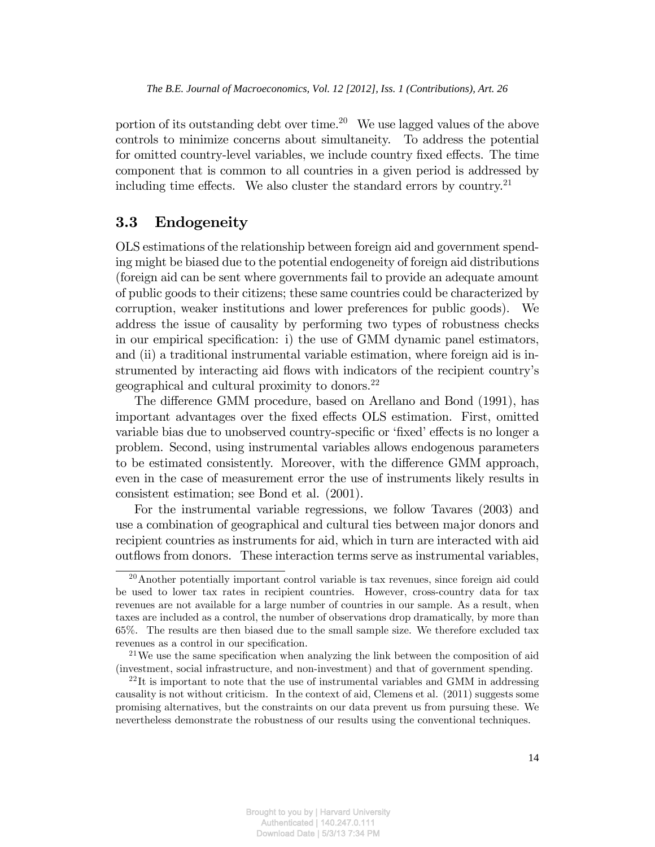portion of its outstanding debt over time.<sup>20</sup> We use lagged values of the above controls to minimize concerns about simultaneity. To address the potential for omitted country-level variables, we include country fixed effects. The time component that is common to all countries in a given period is addressed by including time effects. We also cluster the standard errors by country.<sup>21</sup>

## 3.3 Endogeneity

OLS estimations of the relationship between foreign aid and government spending might be biased due to the potential endogeneity of foreign aid distributions (foreign aid can be sent where governments fail to provide an adequate amount of public goods to their citizens; these same countries could be characterized by corruption, weaker institutions and lower preferences for public goods). We address the issue of causality by performing two types of robustness checks in our empirical specification: i) the use of GMM dynamic panel estimators, and (ii) a traditional instrumental variable estimation, where foreign aid is instrumented by interacting aid flows with indicators of the recipient country's geographical and cultural proximity to donors.<sup>22</sup>

The difference GMM procedure, based on Arellano and Bond (1991), has important advantages over the fixed effects OLS estimation. First, omitted variable bias due to unobserved country-specific or 'fixed' effects is no longer a problem. Second, using instrumental variables allows endogenous parameters to be estimated consistently. Moreover, with the difference GMM approach, even in the case of measurement error the use of instruments likely results in consistent estimation; see Bond et al. (2001).

For the instrumental variable regressions, we follow Tavares (2003) and use a combination of geographical and cultural ties between major donors and recipient countries as instruments for aid, which in turn are interacted with aid outflows from donors. These interaction terms serve as instrumental variables,

<sup>20</sup>Another potentially important control variable is tax revenues, since foreign aid could be used to lower tax rates in recipient countries. However, cross-country data for tax revenues are not available for a large number of countries in our sample. As a result, when taxes are included as a control, the number of observations drop dramatically, by more than 65%. The results are then biased due to the small sample size. We therefore excluded tax revenues as a control in our specification.

<sup>&</sup>lt;sup>21</sup>We use the same specification when analyzing the link between the composition of aid (investment, social infrastructure, and non-investment) and that of government spending.

 $22$ It is important to note that the use of instrumental variables and GMM in addressing causality is not without criticism. In the context of aid, Clemens et al. (2011) suggests some promising alternatives, but the constraints on our data prevent us from pursuing these. We nevertheless demonstrate the robustness of our results using the conventional techniques.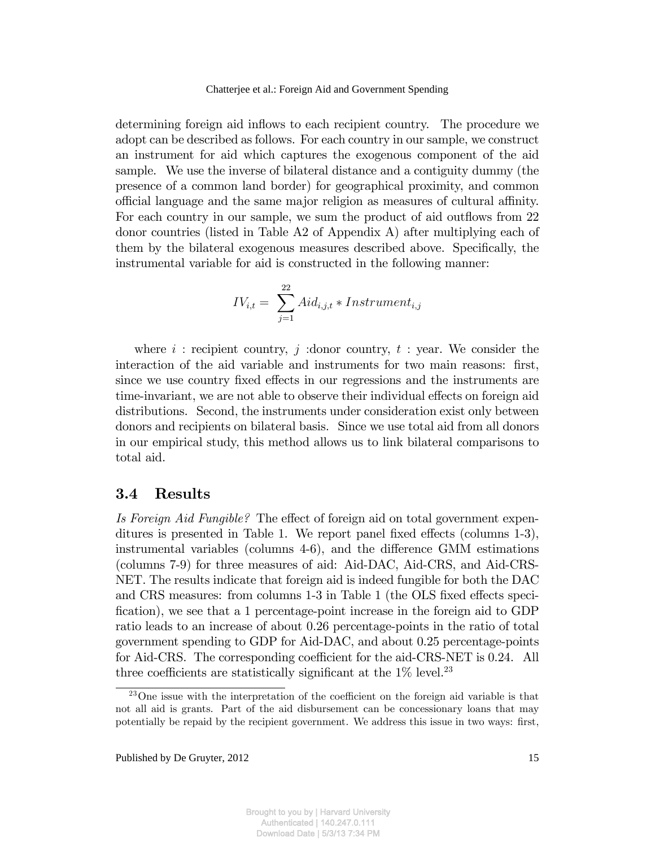determining foreign aid inflows to each recipient country. The procedure we adopt can be described as follows. For each country in our sample, we construct an instrument for aid which captures the exogenous component of the aid sample. We use the inverse of bilateral distance and a contiguity dummy (the presence of a common land border) for geographical proximity, and common official language and the same major religion as measures of cultural affinity. For each country in our sample, we sum the product of aid outflows from 22 donor countries (listed in Table A2 of Appendix A) after multiplying each of them by the bilateral exogenous measures described above. Specifically, the instrumental variable for aid is constructed in the following manner:

$$
IV_{i,t} = \sum_{j=1}^{22} \text{Aid}_{i,j,t} * Instrument_{i,j}
$$

where i : recipient country, j : donor country, t : year. We consider the interaction of the aid variable and instruments for two main reasons: first, since we use country fixed effects in our regressions and the instruments are time-invariant, we are not able to observe their individual effects on foreign aid distributions. Second, the instruments under consideration exist only between donors and recipients on bilateral basis. Since we use total aid from all donors in our empirical study, this method allows us to link bilateral comparisons to total aid.

## 3.4 Results

Is Foreign Aid Fungible? The effect of foreign aid on total government expenditures is presented in Table 1. We report panel fixed effects (columns  $1-3$ ), instrumental variables (columns  $4-6$ ), and the difference GMM estimations (columns 7-9) for three measures of aid: Aid-DAC, Aid-CRS, and Aid-CRS-NET. The results indicate that foreign aid is indeed fungible for both the DAC and CRS measures: from columns 1-3 in Table 1 (the OLS fixed effects specification), we see that a 1 percentage-point increase in the foreign aid to GDP ratio leads to an increase of about 0.26 percentage-points in the ratio of total government spending to GDP for Aid-DAC, and about 0.25 percentage-points for Aid-CRS. The corresponding coefficient for the aid-CRS-NET is 0.24. All three coefficients are statistically significant at the  $1\%$  level.<sup>23</sup>

 $^{23}$ One issue with the interpretation of the coefficient on the foreign aid variable is that not all aid is grants. Part of the aid disbursement can be concessionary loans that may potentially be repaid by the recipient government. We address this issue in two ways: first,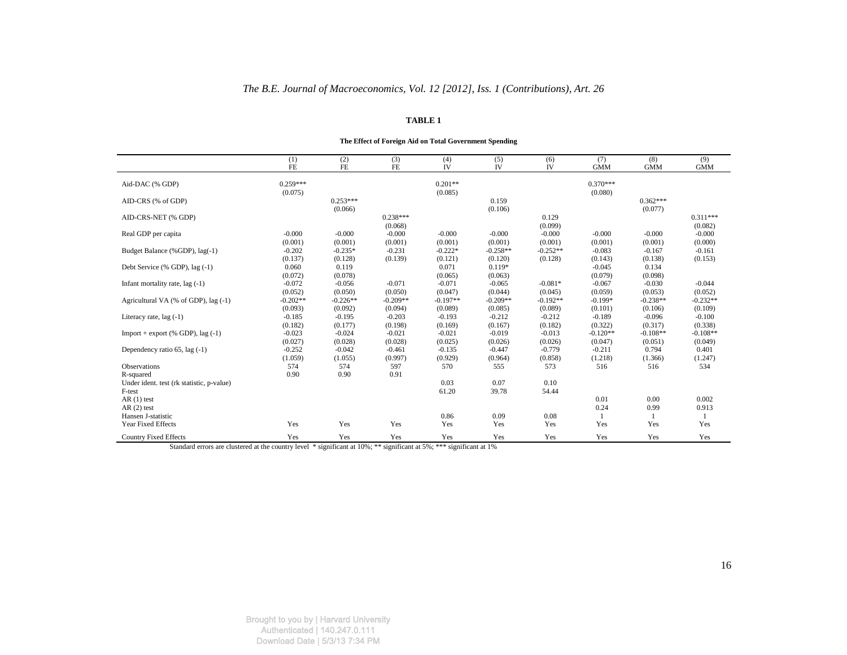#### **TABLE 1**

#### **The Effect of Foreign Aid on Total Government Spending**

|                                           | (1)        | (2)        | (3)        | (4)         | (5)         | (6)         | (7)        | (8)        | (9)        |
|-------------------------------------------|------------|------------|------------|-------------|-------------|-------------|------------|------------|------------|
|                                           | $FE$       | <b>FE</b>  | <b>FE</b>  | IV          | IV          | IV          | <b>GMM</b> | <b>GMM</b> | <b>GMM</b> |
| Aid-DAC (% GDP)                           | $0.259***$ |            |            | $0.201**$   |             |             | $0.370***$ |            |            |
|                                           | (0.075)    |            |            | (0.085)     |             |             | (0.080)    |            |            |
| AID-CRS (% of GDP)                        |            | $0.253***$ |            |             | 0.159       |             |            | $0.362***$ |            |
|                                           |            | (0.066)    |            |             | (0.106)     |             |            | (0.077)    |            |
| AID-CRS-NET (% GDP)                       |            |            | $0.238***$ |             |             | 0.129       |            |            | $0.311***$ |
|                                           |            |            | (0.068)    |             |             | (0.099)     |            |            | (0.082)    |
| Real GDP per capita                       | $-0.000$   | $-0.000$   | $-0.000$   | $-0.000$    | $-0.000$    | $-0.000$    | $-0.000$   | $-0.000$   | $-0.000$   |
|                                           | (0.001)    | (0.001)    | (0.001)    | (0.001)     | (0.001)     | (0.001)     | (0.001)    | (0.001)    | (0.000)    |
| Budget Balance (%GDP), lag(-1)            | $-0.202$   | $-0.235*$  | $-0.231$   | $-0.222*$   | $-0.258**$  | $-0.252**$  | $-0.083$   | $-0.167$   | $-0.161$   |
|                                           | (0.137)    | (0.128)    | (0.139)    | (0.121)     | (0.120)     | (0.128)     | (0.143)    | (0.138)    | (0.153)    |
| Debt Service (% GDP), lag (-1)            | 0.060      | 0.119      |            | 0.071       | $0.119*$    |             | $-0.045$   | 0.134      |            |
|                                           | (0.072)    | (0.078)    |            | (0.065)     | (0.063)     |             | (0.079)    | (0.098)    |            |
| Infant mortality rate, $lag(-1)$          | $-0.072$   | $-0.056$   | $-0.071$   | $-0.071$    | $-0.065$    | $-0.081*$   | $-0.067$   | $-0.030$   | $-0.044$   |
|                                           | (0.052)    | (0.050)    | (0.050)    | (0.047)     | (0.044)     | (0.045)     | (0.059)    | (0.053)    | (0.052)    |
| Agricultural VA (% of GDP), lag (-1)      | $-0.202**$ | $-0.226**$ | $-0.209**$ | $-0.197**$  | $-0.209**$  | $-0.192**$  | $-0.199*$  | $-0.238**$ | $-0.232**$ |
|                                           | (0.093)    | (0.092)    | (0.094)    | (0.089)     | (0.085)     | (0.089)     | (0.101)    | (0.106)    | (0.109)    |
| Literacy rate, $lag(-1)$                  | $-0.185$   | $-0.195$   | $-0.203$   | $-0.193$    | $-0.212$    | $-0.212$    | $-0.189$   | $-0.096$   | $-0.100$   |
|                                           | (0.182)    | (0.177)    | (0.198)    | (0.169)     | (0.167)     | (0.182)     | (0.322)    | (0.317)    | (0.338)    |
| Import + export $(%$ (% GDP), lag $(-1)$  | $-0.023$   | $-0.024$   | $-0.021$   | $-0.021$    | $-0.019$    | $-0.013$    | $-0.120**$ | $-0.108**$ | $-0.108**$ |
|                                           | (0.027)    | (0.028)    | (0.028)    | (0.025)     | (0.026)     | (0.026)     | (0.047)    | (0.051)    | (0.049)    |
| Dependency ratio $65$ , lag $(-1)$        | $-0.252$   | $-0.042$   | $-0.461$   | $-0.135$    | $-0.447$    | $-0.779$    | $-0.211$   | 0.794      | 0.401      |
|                                           | (1.059)    | (1.055)    | (0.997)    | (0.929)     | (0.964)     | (0.858)     | (1.218)    | (1.366)    | (1.247)    |
| <b>Observations</b>                       | 574        | 574        | 597        | 570         | 555         | 573         | 516        | 516        | 534        |
| R-squared                                 | 0.90       | 0.90       | 0.91       |             |             |             |            |            |            |
| Under ident. test (rk statistic, p-value) |            |            |            | 0.03        | 0.07        | 0.10        |            |            |            |
| F-test                                    |            |            |            | 61.20       | 39.78       | 54.44       |            |            |            |
| $AR(1)$ test                              |            |            |            |             |             |             | 0.01       | 0.00       | 0.002      |
| $AR(2)$ test                              |            |            |            |             |             |             | 0.24       | 0.99       | 0.913      |
| Hansen J-statistic<br>Year Fixed Effects  | Yes        | Yes        | Yes        | 0.86<br>Yes | 0.09<br>Yes | 0.08<br>Yes |            |            |            |
|                                           |            |            |            |             |             |             | Yes        | Yes        | Yes        |
| <b>Country Fixed Effects</b>              | Yes        | Yes        | Yes        | Yes         | Yes         | Yes         | Yes        | Yes        | Yes        |

Standard errors are clustered at the country level \* significant at 10%; \*\*\* significant at 5%; \*\*\* significant at 1%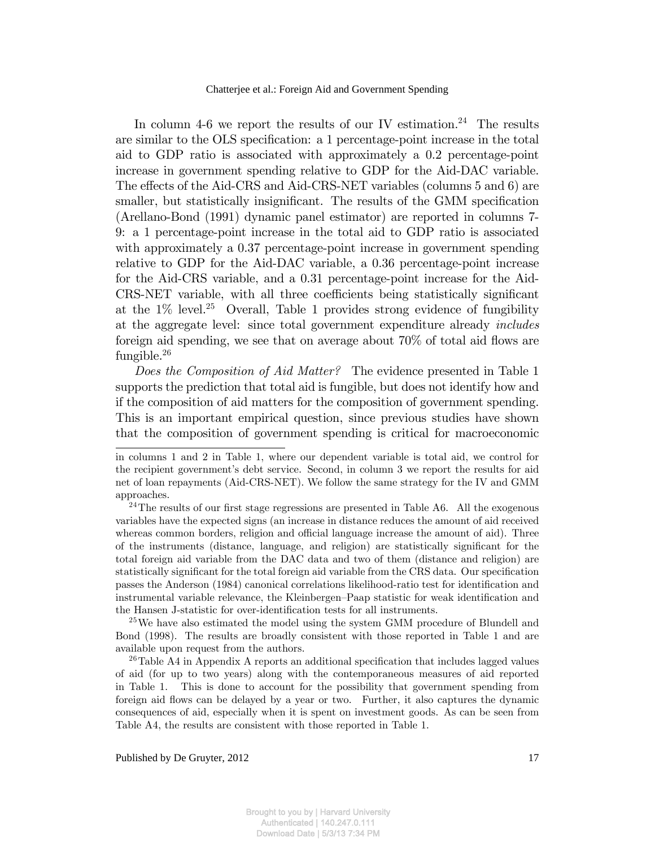In column 4-6 we report the results of our IV estimation.<sup>24</sup> The results are similar to the OLS specification: a 1 percentage-point increase in the total aid to GDP ratio is associated with approximately a 0.2 percentage-point increase in government spending relative to GDP for the Aid-DAC variable. The effects of the Aid-CRS and Aid-CRS-NET variables (columns 5 and 6) are smaller, but statistically insignificant. The results of the GMM specification (Arellano-Bond (1991) dynamic panel estimator) are reported in columns 7- 9: a 1 percentage-point increase in the total aid to GDP ratio is associated with approximately a 0.37 percentage-point increase in government spending relative to GDP for the Aid-DAC variable, a 0.36 percentage-point increase for the Aid-CRS variable, and a 0.31 percentage-point increase for the Aid-CRS-NET variable, with all three coefficients being statistically significant at the  $1\%$  level.<sup>25</sup> Overall, Table 1 provides strong evidence of fungibility at the aggregate level: since total government expenditure already includes foreign aid spending, we see that on average about  $70\%$  of total aid flows are fungible.<sup>26</sup>

Does the Composition of Aid Matter? The evidence presented in Table 1 supports the prediction that total aid is fungible, but does not identify how and if the composition of aid matters for the composition of government spending. This is an important empirical question, since previous studies have shown that the composition of government spending is critical for macroeconomic

<sup>25</sup>We have also estimated the model using the system GMM procedure of Blundell and Bond (1998). The results are broadly consistent with those reported in Table 1 and are available upon request from the authors.

<sup>26</sup>Table A4 in Appendix A reports an additional specification that includes lagged values of aid (for up to two years) along with the contemporaneous measures of aid reported in Table 1. This is done to account for the possibility that government spending from foreign aid flows can be delayed by a year or two. Further, it also captures the dynamic consequences of aid, especially when it is spent on investment goods. As can be seen from Table A4, the results are consistent with those reported in Table 1.

in columns 1 and 2 in Table 1, where our dependent variable is total aid, we control for the recipient government's debt service. Second, in column 3 we report the results for aid net of loan repayments (Aid-CRS-NET). We follow the same strategy for the IV and GMM approaches.

<sup>&</sup>lt;sup>24</sup>The results of our first stage regressions are presented in Table A6. All the exogenous variables have the expected signs (an increase in distance reduces the amount of aid received whereas common borders, religion and official language increase the amount of aid). Three of the instruments (distance, language, and religion) are statistically significant for the total foreign aid variable from the DAC data and two of them (distance and religion) are statistically significant for the total foreign aid variable from the CRS data. Our specification passes the Anderson (1984) canonical correlations likelihood-ratio test for identification and instrumental variable relevance, the Kleinbergen–Paap statistic for weak identification and the Hansen J-statistic for over-identification tests for all instruments.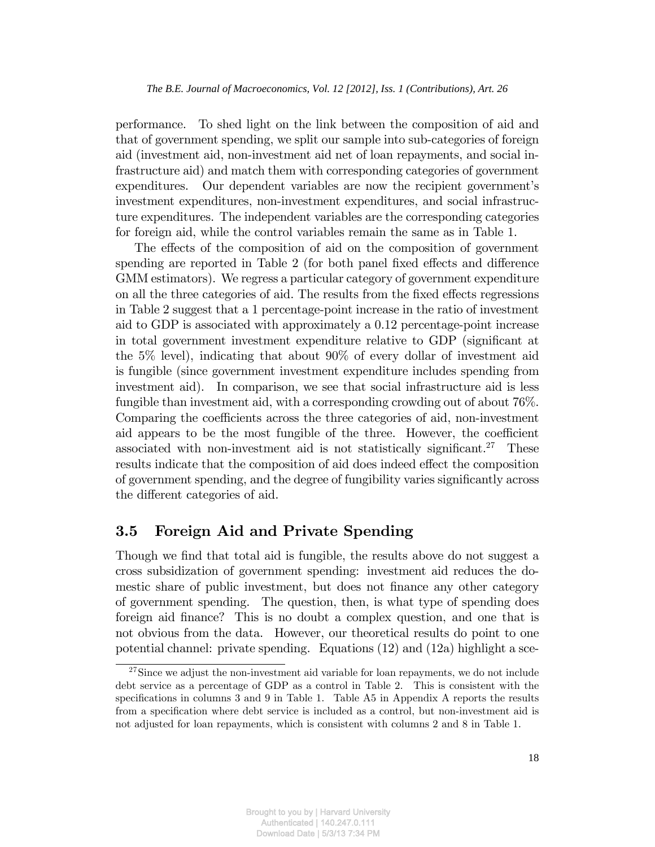performance. To shed light on the link between the composition of aid and that of government spending, we split our sample into sub-categories of foreign aid (investment aid, non-investment aid net of loan repayments, and social infrastructure aid) and match them with corresponding categories of government expenditures. Our dependent variables are now the recipient government's investment expenditures, non-investment expenditures, and social infrastructure expenditures. The independent variables are the corresponding categories for foreign aid, while the control variables remain the same as in Table 1.

The effects of the composition of aid on the composition of government spending are reported in Table 2 (for both panel fixed effects and difference GMM estimators). We regress a particular category of government expenditure on all the three categories of aid. The results from the fixed effects regressions in Table 2 suggest that a 1 percentage-point increase in the ratio of investment aid to GDP is associated with approximately a 0.12 percentage-point increase in total government investment expenditure relative to GDP (significant at the 5% level), indicating that about 90% of every dollar of investment aid is fungible (since government investment expenditure includes spending from investment aid). In comparison, we see that social infrastructure aid is less fungible than investment aid, with a corresponding crowding out of about 76%. Comparing the coefficients across the three categories of aid, non-investment aid appears to be the most fungible of the three. However, the coefficient associated with non-investment aid is not statistically significant.<sup>27</sup> These results indicate that the composition of aid does indeed effect the composition of government spending, and the degree of fungibility varies significantly across the different categories of aid.

## 3.5 Foreign Aid and Private Spending

Though we find that total aid is fungible, the results above do not suggest a cross subsidization of government spending: investment aid reduces the domestic share of public investment, but does not finance any other category of government spending. The question, then, is what type of spending does foreign aid Önance? This is no doubt a complex question, and one that is not obvious from the data. However, our theoretical results do point to one potential channel: private spending. Equations (12) and (12a) highlight a sce-

 $27\text{Since we adjust the non-investment aid variable for loan repayments, we do not include }$ debt service as a percentage of GDP as a control in Table 2. This is consistent with the specifications in columns  $3$  and  $9$  in Table 1. Table A $5$  in Appendix A reports the results from a specification where debt service is included as a control, but non-investment aid is not adjusted for loan repayments, which is consistent with columns 2 and 8 in Table 1.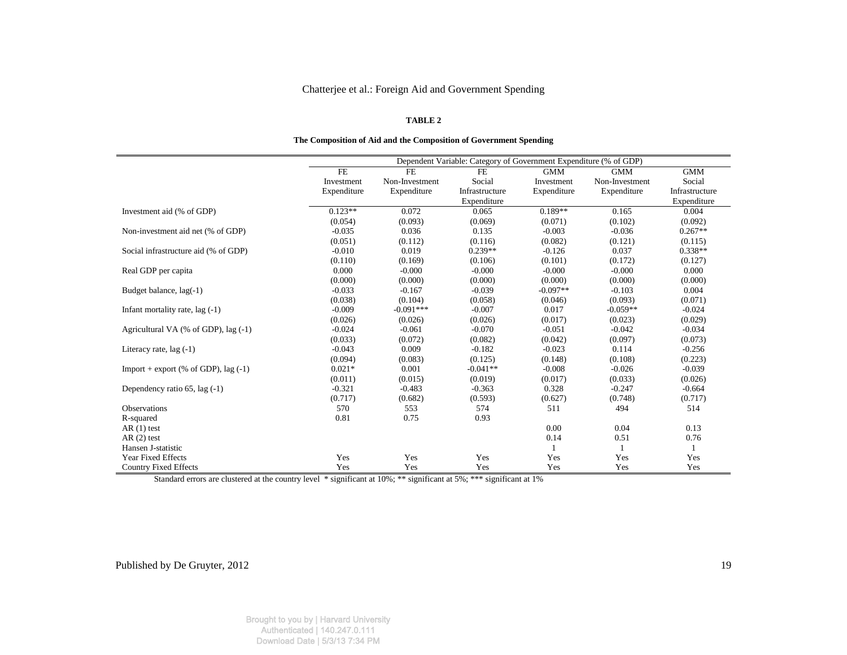## **TABLE 2**

| The Composition of Aid and the Composition of Government Spending |  |  |  |  |  |  |  |  |  |  |
|-------------------------------------------------------------------|--|--|--|--|--|--|--|--|--|--|
|-------------------------------------------------------------------|--|--|--|--|--|--|--|--|--|--|

|                                         |             |                | Dependent Variable: Category of Government Expenditure (% of GDP) |             |                |                |
|-----------------------------------------|-------------|----------------|-------------------------------------------------------------------|-------------|----------------|----------------|
|                                         | <b>FE</b>   | <b>FE</b>      | FE.                                                               | <b>GMM</b>  | <b>GMM</b>     | <b>GMM</b>     |
|                                         | Investment  | Non-Investment | Social                                                            | Investment  | Non-Investment | Social         |
|                                         | Expenditure | Expenditure    | Infrastructure                                                    | Expenditure | Expenditure    | Infrastructure |
|                                         |             |                | Expenditure                                                       |             |                | Expenditure    |
| Investment aid (% of GDP)               | $0.123**$   | 0.072          | 0.065                                                             | $0.189**$   | 0.165          | 0.004          |
|                                         | (0.054)     | (0.093)        | (0.069)                                                           | (0.071)     | (0.102)        | (0.092)        |
| Non-investment aid net (% of GDP)       | $-0.035$    | 0.036          | 0.135                                                             | $-0.003$    | $-0.036$       | $0.267**$      |
|                                         | (0.051)     | (0.112)        | (0.116)                                                           | (0.082)     | (0.121)        | (0.115)        |
| Social infrastructure aid (% of GDP)    | $-0.010$    | 0.019          | $0.239**$                                                         | $-0.126$    | 0.037          | $0.338**$      |
|                                         | (0.110)     | (0.169)        | (0.106)                                                           | (0.101)     | (0.172)        | (0.127)        |
| Real GDP per capita                     | 0.000       | $-0.000$       | $-0.000$                                                          | $-0.000$    | $-0.000$       | 0.000          |
|                                         | (0.000)     | (0.000)        | (0.000)                                                           | (0.000)     | (0.000)        | (0.000)        |
| Budget balance, lag(-1)                 | $-0.033$    | $-0.167$       | $-0.039$                                                          | $-0.097**$  | $-0.103$       | 0.004          |
|                                         | (0.038)     | (0.104)        | (0.058)                                                           | (0.046)     | (0.093)        | (0.071)        |
| Infant mortality rate, lag (-1)         | $-0.009$    | $-0.091***$    | $-0.007$                                                          | 0.017       | $-0.059**$     | $-0.024$       |
|                                         | (0.026)     | (0.026)        | (0.026)                                                           | (0.017)     | (0.023)        | (0.029)        |
| Agricultural VA (% of GDP), lag (-1)    | $-0.024$    | $-0.061$       | $-0.070$                                                          | $-0.051$    | $-0.042$       | $-0.034$       |
|                                         | (0.033)     | (0.072)        | (0.082)                                                           | (0.042)     | (0.097)        | (0.073)        |
| Literacy rate, $lag(-1)$                | $-0.043$    | 0.009          | $-0.182$                                                          | $-0.023$    | 0.114          | $-0.256$       |
|                                         | (0.094)     | (0.083)        | (0.125)                                                           | (0.148)     | (0.108)        | (0.223)        |
| Import + export (% of GDP), $\log$ (-1) | $0.021*$    | 0.001          | $-0.041**$                                                        | $-0.008$    | $-0.026$       | $-0.039$       |
|                                         | (0.011)     | (0.015)        | (0.019)                                                           | (0.017)     | (0.033)        | (0.026)        |
| Dependency ratio 65, lag (-1)           | $-0.321$    | $-0.483$       | $-0.363$                                                          | 0.328       | $-0.247$       | $-0.664$       |
|                                         | (0.717)     | (0.682)        | (0.593)                                                           | (0.627)     | (0.748)        | (0.717)        |
| Observations                            | 570         | 553            | 574                                                               | 511         | 494            | 514            |
| R-squared                               | 0.81        | 0.75           | 0.93                                                              |             |                |                |
| $AR(1)$ test                            |             |                |                                                                   | 0.00        | 0.04           | 0.13           |
| $AR(2)$ test                            |             |                |                                                                   | 0.14        | 0.51           | 0.76           |
| Hansen J-statistic                      |             |                |                                                                   |             |                |                |
| Year Fixed Effects                      | Yes         | Yes            | Yes                                                               | Yes         | Yes            | Yes            |
| <b>Country Fixed Effects</b>            | Yes         | Yes            | Yes                                                               | Yes         | Yes            | Yes            |

Standard errors are clustered at the country level \* significant at 10%; \*\*\* significant at 5%; \*\*\* significant at 1%

Brought to you by | Harvard University Authenticated | 140.247.0.111 Download Date | 5/3/13 7:34 PM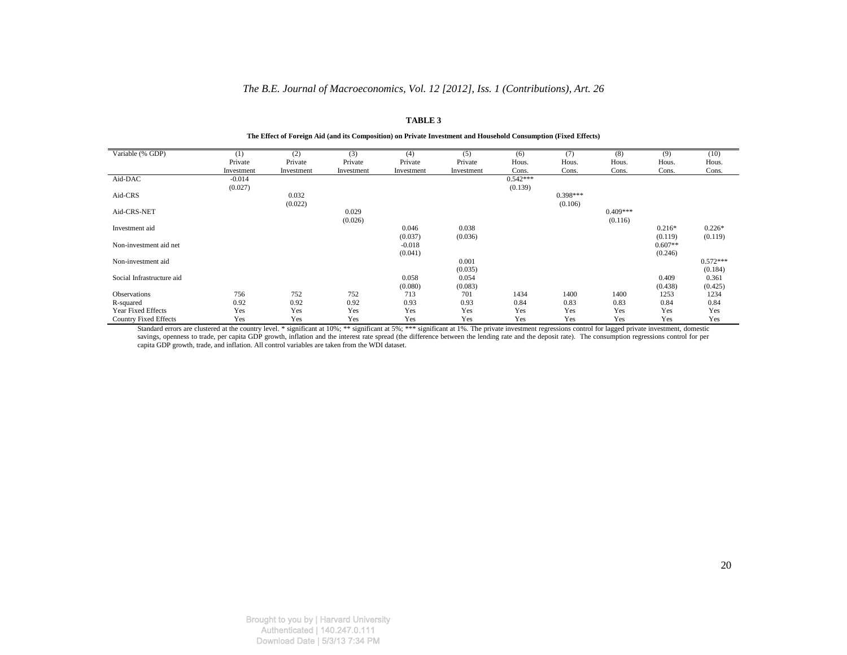## *The B.E. Journal of Macroeconomics, Vol. 12 [2012], Iss. 1 (Contributions), Art. 26*

#### **TABLE 3**

| Variable (% GDP)             | (1)        | (2)        | (3)        | (4)        | (5)        | (6)        | (7)        | (8)        | (9)       | (10)       |
|------------------------------|------------|------------|------------|------------|------------|------------|------------|------------|-----------|------------|
|                              | Private    | Private    | Private    | Private    | Private    | Hous.      | Hous.      | Hous.      | Hous.     | Hous.      |
|                              | Investment | Investment | Investment | Investment | Investment | Cons.      | Cons.      | Cons.      | Cons.     | Cons.      |
| Aid-DAC                      | $-0.014$   |            |            |            |            | $0.542***$ |            |            |           |            |
|                              | (0.027)    |            |            |            |            | (0.139)    |            |            |           |            |
| Aid-CRS                      |            | 0.032      |            |            |            |            | $0.398***$ |            |           |            |
|                              |            | (0.022)    |            |            |            |            | (0.106)    |            |           |            |
| Aid-CRS-NET                  |            |            | 0.029      |            |            |            |            | $0.409***$ |           |            |
|                              |            |            | (0.026)    |            |            |            |            | (0.116)    |           |            |
| Investment aid               |            |            |            | 0.046      | 0.038      |            |            |            | $0.216*$  | $0.226*$   |
|                              |            |            |            | (0.037)    | (0.036)    |            |            |            | (0.119)   | (0.119)    |
| Non-investment aid net       |            |            |            | $-0.018$   |            |            |            |            | $0.607**$ |            |
|                              |            |            |            | (0.041)    |            |            |            |            | (0.246)   |            |
| Non-investment aid           |            |            |            |            | 0.001      |            |            |            |           | $0.572***$ |
|                              |            |            |            |            | (0.035)    |            |            |            |           | (0.184)    |
| Social Infrastructure aid    |            |            |            | 0.058      | 0.054      |            |            |            | 0.409     | 0.361      |
|                              |            |            |            | (0.080)    | (0.083)    |            |            |            | (0.438)   | (0.425)    |
| Observations                 | 756        | 752        | 752        | 713        | 701        | 1434       | 1400       | 1400       | 1253      | 1234       |
| R-squared                    | 0.92       | 0.92       | 0.92       | 0.93       | 0.93       | 0.84       | 0.83       | 0.83       | 0.84      | 0.84       |
| <b>Year Fixed Effects</b>    | Yes        | Yes        | Yes        | Yes        | Yes        | Yes        | Yes        | Yes        | Yes       | Yes        |
| <b>Country Fixed Effects</b> | Yes        | Yes        | Yes        | Yes        | Yes        | Yes        | Yes        | Yes        | Yes       | Yes        |

**The Effect of Foreign Aid (and its Composition) on Private Investment and Household Consumption (Fixed Effects)** 

Standard errors are clustered at the country level. \* significant at 10%; \*\* significant at 5%; \*\*\* significant at 1%. The private investment regressions control for lagged private investment, domestic savings, openness to trade, per capita GDP growth, inflation and the interest rate spread (the difference between the lending rate and the deposit rate). The consumption regressions control for per capita GDP growth, trade, and inflation. All control variables are taken from the WDI dataset.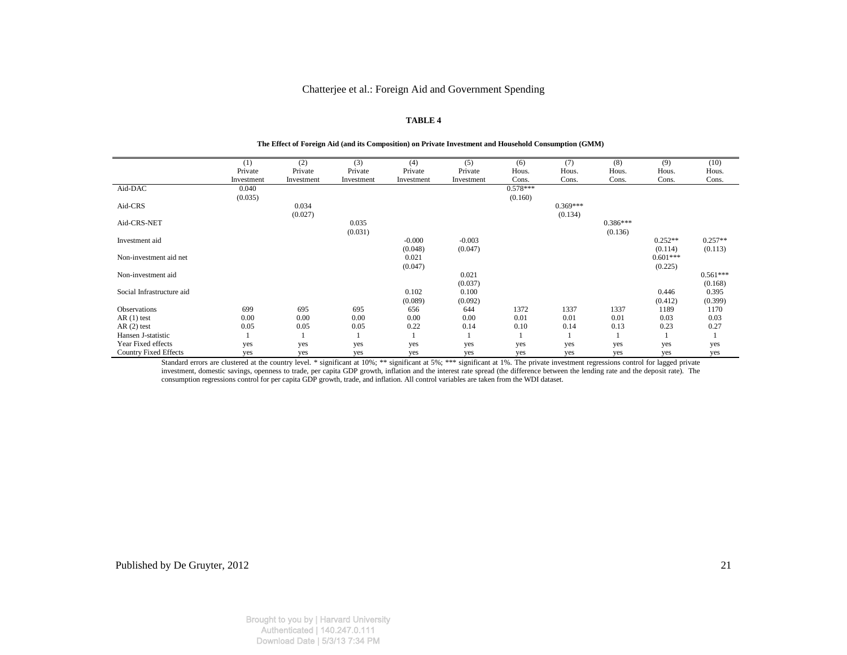#### **TABLE 4**

#### **The Effect of Foreign Aid (and its Composition) on Private Investment and Household Consumption (GMM)**

|                              | (1)        | (2)        | (3)        | (4)        | (5)        | (6)        | (7)        | (8)        | (9)        | (10)       |
|------------------------------|------------|------------|------------|------------|------------|------------|------------|------------|------------|------------|
|                              | Private    | Private    | Private    | Private    | Private    | Hous.      | Hous.      | Hous.      | Hous.      | Hous.      |
|                              | Investment | Investment | Investment | Investment | Investment | Cons.      | Cons.      | Cons.      | Cons.      | Cons.      |
| Aid-DAC                      | 0.040      |            |            |            |            | $0.578***$ |            |            |            |            |
|                              | (0.035)    |            |            |            |            | (0.160)    |            |            |            |            |
| Aid-CRS                      |            | 0.034      |            |            |            |            | $0.369***$ |            |            |            |
|                              |            | (0.027)    |            |            |            |            | (0.134)    |            |            |            |
| Aid-CRS-NET                  |            |            | 0.035      |            |            |            |            | $0.386***$ |            |            |
|                              |            |            | (0.031)    |            |            |            |            | (0.136)    |            |            |
| Investment aid               |            |            |            | $-0.000$   | $-0.003$   |            |            |            | $0.252**$  | $0.257**$  |
|                              |            |            |            | (0.048)    | (0.047)    |            |            |            | (0.114)    | (0.113)    |
| Non-investment aid net       |            |            |            | 0.021      |            |            |            |            | $0.601***$ |            |
|                              |            |            |            | (0.047)    |            |            |            |            | (0.225)    |            |
| Non-investment aid           |            |            |            |            | 0.021      |            |            |            |            | $0.561***$ |
|                              |            |            |            |            | (0.037)    |            |            |            |            | (0.168)    |
| Social Infrastructure aid    |            |            |            | 0.102      | 0.100      |            |            |            | 0.446      | 0.395      |
|                              |            |            |            | (0.089)    | (0.092)    |            |            |            | (0.412)    | (0.399)    |
| <b>Observations</b>          | 699        | 695        | 695        | 656        | 644        | 1372       | 1337       | 1337       | 1189       | 1170       |
| $AR(1)$ test                 | 0.00       | 0.00       | 0.00       | 0.00       | 0.00       | 0.01       | 0.01       | 0.01       | 0.03       | 0.03       |
| $AR(2)$ test                 | 0.05       | 0.05       | 0.05       | 0.22       | 0.14       | 0.10       | 0.14       | 0.13       | 0.23       | 0.27       |
| Hansen J-statistic           |            |            |            |            |            |            |            |            |            |            |
| Year Fixed effects           | yes        | yes        | yes        | yes        | yes        | yes        | yes        | yes        | yes        | yes        |
| <b>Country Fixed Effects</b> | yes        | yes        | yes        | yes        | yes        | yes        | yes        | yes        | yes        | yes        |

Standard errors are clustered at the country level. \* significant at 10%; \*\* significant at 5%; \*\*\* significant at 1%. The private investment regressions control for lagged private investment, domestic savings, openness to trade, per capita GDP growth, inflation and the interest rate spread (the difference between the lending rate and the deposit rate). The consumption regressions control for per cap

Published by De Gruyter, 2012

Brought to you by | Harvard University Authenticated | 140.247.0.111 Download Date | 5/3/13 7:34 PM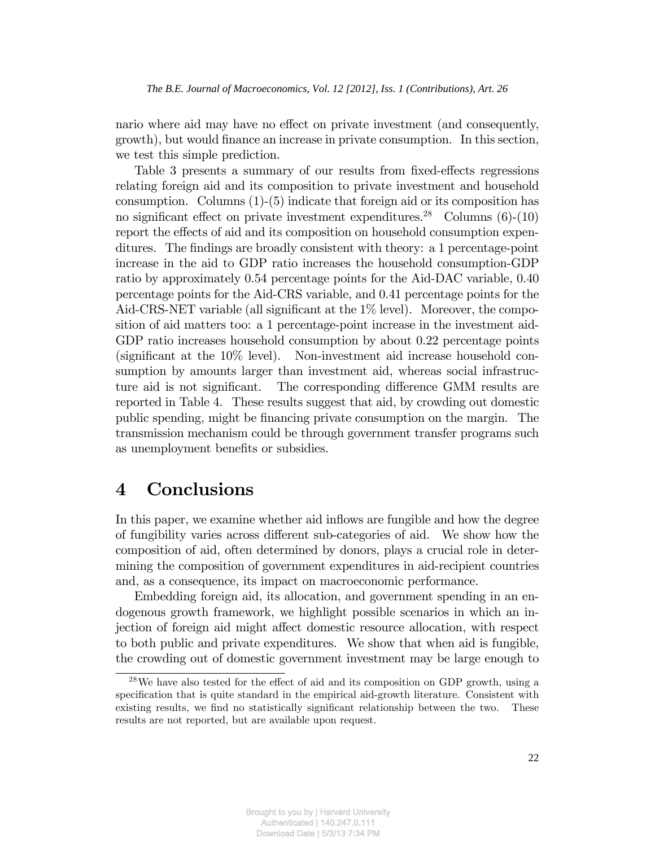nario where aid may have no effect on private investment (and consequently, growth), but would finance an increase in private consumption. In this section, we test this simple prediction.

Table 3 presents a summary of our results from fixed-effects regressions relating foreign aid and its composition to private investment and household consumption. Columns (1)-(5) indicate that foreign aid or its composition has no significant effect on private investment expenditures.<sup>28</sup> Columns  $(6)-(10)$ report the effects of aid and its composition on household consumption expenditures. The findings are broadly consistent with theory: a 1 percentage-point increase in the aid to GDP ratio increases the household consumption-GDP ratio by approximately 0.54 percentage points for the Aid-DAC variable, 0.40 percentage points for the Aid-CRS variable, and 0.41 percentage points for the Aid-CRS-NET variable (all significant at the  $1\%$  level). Moreover, the composition of aid matters too: a 1 percentage-point increase in the investment aid-GDP ratio increases household consumption by about 0.22 percentage points (significant at the  $10\%$  level). Non-investment aid increase household consumption by amounts larger than investment aid, whereas social infrastructure aid is not significant. The corresponding difference GMM results are reported in Table 4. These results suggest that aid, by crowding out domestic public spending, might be financing private consumption on the margin. The transmission mechanism could be through government transfer programs such as unemployment benefits or subsidies.

## 4 Conclusions

In this paper, we examine whether aid inflows are fungible and how the degree of fungibility varies across different sub-categories of aid. We show how the composition of aid, often determined by donors, plays a crucial role in determining the composition of government expenditures in aid-recipient countries and, as a consequence, its impact on macroeconomic performance.

Embedding foreign aid, its allocation, and government spending in an endogenous growth framework, we highlight possible scenarios in which an injection of foreign aid might affect domestic resource allocation, with respect to both public and private expenditures. We show that when aid is fungible, the crowding out of domestic government investment may be large enough to

 $28$ We have also tested for the effect of aid and its composition on GDP growth, using a specification that is quite standard in the empirical aid-growth literature. Consistent with existing results, we find no statistically significant relationship between the two. These results are not reported, but are available upon request.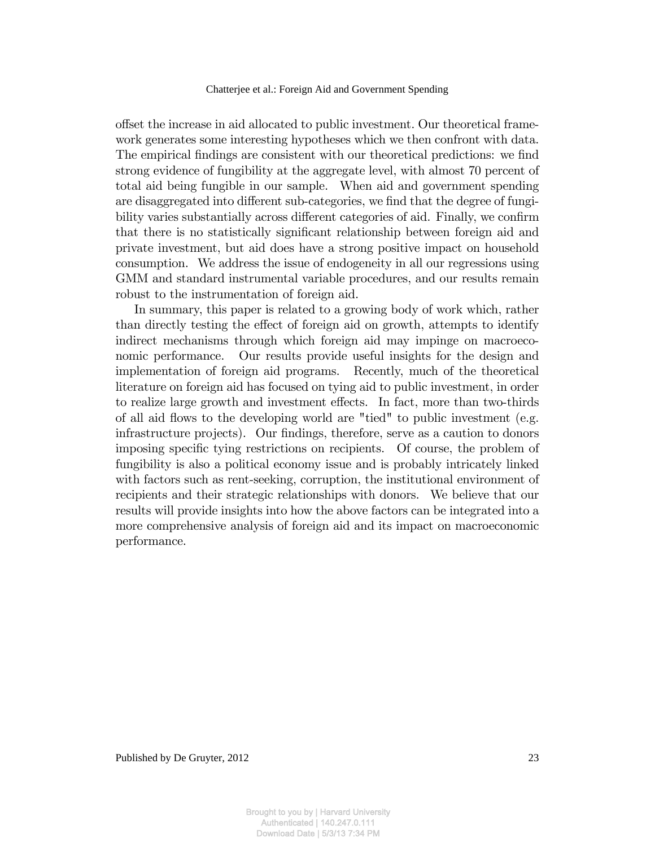offset the increase in aid allocated to public investment. Our theoretical framework generates some interesting hypotheses which we then confront with data. The empirical findings are consistent with our theoretical predictions: we find strong evidence of fungibility at the aggregate level, with almost 70 percent of total aid being fungible in our sample. When aid and government spending are disaggregated into different sub-categories, we find that the degree of fungibility varies substantially across different categories of aid. Finally, we confirm that there is no statistically significant relationship between foreign aid and private investment, but aid does have a strong positive impact on household consumption. We address the issue of endogeneity in all our regressions using GMM and standard instrumental variable procedures, and our results remain robust to the instrumentation of foreign aid.

In summary, this paper is related to a growing body of work which, rather than directly testing the effect of foreign aid on growth, attempts to identify indirect mechanisms through which foreign aid may impinge on macroeconomic performance. Our results provide useful insights for the design and implementation of foreign aid programs. Recently, much of the theoretical literature on foreign aid has focused on tying aid to public investment, in order to realize large growth and investment effects. In fact, more than two-thirds of all aid flows to the developing world are "tied" to public investment (e.g. infrastructure projects). Our findings, therefore, serve as a caution to donors imposing specific tying restrictions on recipients. Of course, the problem of fungibility is also a political economy issue and is probably intricately linked with factors such as rent-seeking, corruption, the institutional environment of recipients and their strategic relationships with donors. We believe that our results will provide insights into how the above factors can be integrated into a more comprehensive analysis of foreign aid and its impact on macroeconomic performance.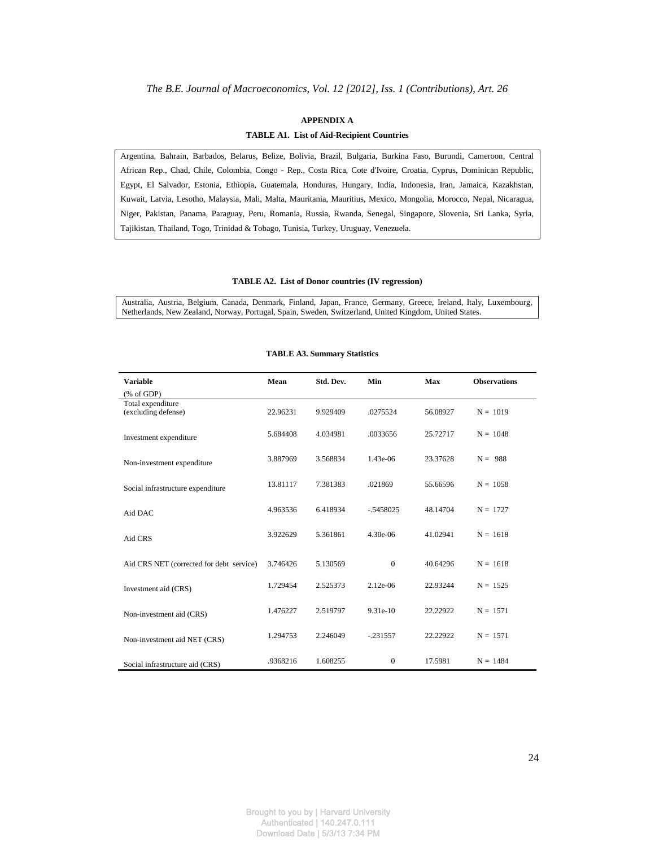## **APPENDIX A TABLE A1. List of Aid-Recipient Countries**

Argentina, Bahrain, Barbados, Belarus, Belize, Bolivia, Brazil, Bulgaria, Burkina Faso, Burundi, Cameroon, Central African Rep., Chad, Chile, Colombia, Congo - Rep., Costa Rica, Cote d'Ivoire, Croatia, Cyprus, Dominican Republic, Egypt, El Salvador, Estonia, Ethiopia, Guatemala, Honduras, Hungary, India, Indonesia, Iran, Jamaica, Kazakhstan, Kuwait, Latvia, Lesotho, Malaysia, Mali, Malta, Mauritania, Mauritius, Mexico, Mongolia, Morocco, Nepal, Nicaragua, Niger, Pakistan, Panama, Paraguay, Peru, Romania, Russia, Rwanda, Senegal, Singapore, Slovenia, Sri Lanka, Syria, Tajikistan, Thailand, Togo, Trinidad & Tobago, Tunisia, Turkey, Uruguay, Venezuela.

#### **TABLE A2. List of Donor countries (IV regression)**

Australia, Austria, Belgium, Canada, Denmark, Finland, Japan, France, Germany, Greece, Ireland, Italy, Luxembourg, Netherlands, New Zealand, Norway, Portugal, Spain, Sweden, Switzerland, United Kingdom, United States.

| <b>Variable</b>                                                             | Mean     | Std. Dev. | Min          | <b>Max</b> | <b>Observations</b> |
|-----------------------------------------------------------------------------|----------|-----------|--------------|------------|---------------------|
| $(% \mathcal{L}_{0}$ (% of GDP)<br>Total expenditure<br>(excluding defense) | 22.96231 | 9.929409  | .0275524     | 56.08927   | $N = 1019$          |
| Investment expenditure                                                      | 5.684408 | 4.034981  | .0033656     | 25.72717   | $N = 1048$          |
| Non-investment expenditure                                                  | 3.887969 | 3.568834  | 1.43e-06     | 23.37628   | $N = 988$           |
| Social infrastructure expenditure                                           | 13.81117 | 7.381383  | .021869      | 55.66596   | $N = 1058$          |
| Aid DAC                                                                     | 4.963536 | 6.418934  | $-.5458025$  | 48.14704   | $N = 1727$          |
| Aid CRS                                                                     | 3.922629 | 5.361861  | 4.30e-06     | 41.02941   | $N = 1618$          |
| Aid CRS NET (corrected for debt service)                                    | 3.746426 | 5.130569  | $\Omega$     | 40.64296   | $N = 1618$          |
| Investment aid (CRS)                                                        | 1.729454 | 2.525373  | 2.12e-06     | 22.93244   | $N = 1525$          |
| Non-investment aid (CRS)                                                    | 1.476227 | 2.519797  | 9.31e-10     | 22.22922   | $N = 1571$          |
| Non-investment aid NET (CRS)                                                | 1.294753 | 2.246049  | $-.231557$   | 22.22922   | $N = 1571$          |
| Social infrastructure aid (CRS)                                             | .9368216 | 1.608255  | $\mathbf{0}$ | 17.5981    | $N = 1484$          |

#### **TABLE A3. Summary Statistics**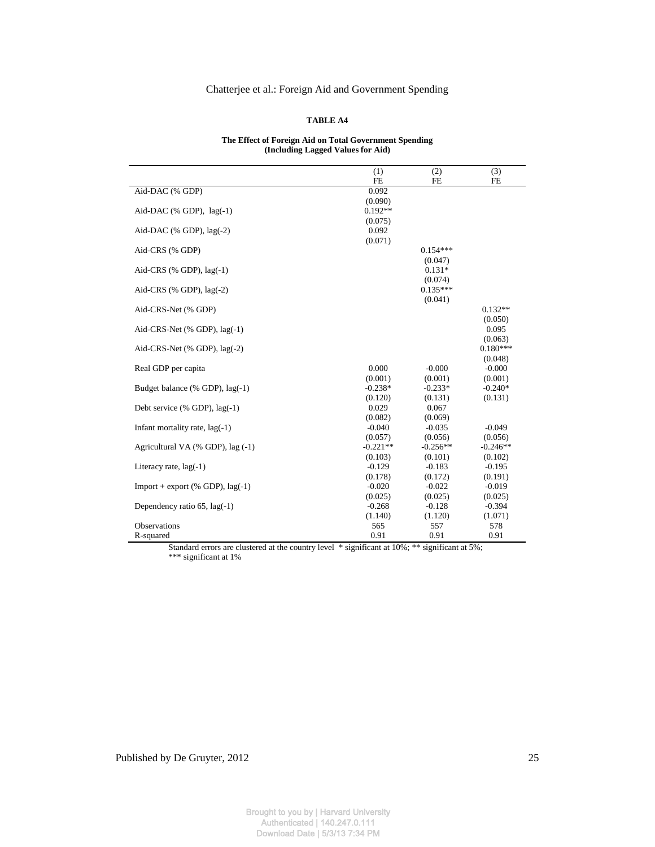#### **TABLE A4**

#### **The Effect of Foreign Aid on Total Government Spending (Including Lagged Values for Aid)**

|                                    | (1)        | (2)        | (3)        |
|------------------------------------|------------|------------|------------|
|                                    | <b>FE</b>  | <b>FE</b>  | <b>FE</b>  |
| Aid-DAC (% GDP)                    | 0.092      |            |            |
|                                    | (0.090)    |            |            |
| Aid-DAC (% GDP), $lag(-1)$         | $0.192**$  |            |            |
|                                    | (0.075)    |            |            |
| Aid-DAC (% GDP), $lag(-2)$         | 0.092      |            |            |
|                                    | (0.071)    |            |            |
| Aid-CRS (% GDP)                    |            | $0.154***$ |            |
|                                    |            | (0.047)    |            |
| Aid-CRS $(%$ GDP), $lag(-1)$       |            | $0.131*$   |            |
|                                    |            | (0.074)    |            |
| Aid-CRS $(%$ GDP), lag $(-2)$      |            | $0.135***$ |            |
|                                    |            | (0.041)    |            |
| Aid-CRS-Net (% GDP)                |            |            | $0.132**$  |
|                                    |            |            | (0.050)    |
| Aid-CRS-Net $(\%$ GDP), $lag(-1)$  |            |            | 0.095      |
|                                    |            |            | (0.063)    |
| Aid-CRS-Net (% GDP), lag(-2)       |            |            | $0.180***$ |
|                                    |            |            | (0.048)    |
| Real GDP per capita                | 0.000      | $-0.000$   | $-0.000$   |
|                                    | (0.001)    | (0.001)    | (0.001)    |
| Budget balance (% GDP), lag(-1)    | $-0.238*$  | $-0.233*$  | $-0.240*$  |
|                                    | (0.120)    | (0.131)    | (0.131)    |
| Debt service (% GDP), lag(-1)      | 0.029      | 0.067      |            |
|                                    | (0.082)    | (0.069)    |            |
| Infant mortality rate, $lag(-1)$   | $-0.040$   | $-0.035$   | $-0.049$   |
|                                    | (0.057)    | (0.056)    | (0.056)    |
| Agricultural VA (% GDP), lag (-1)  | $-0.221**$ | $-0.256**$ | $-0.246**$ |
|                                    | (0.103)    | (0.101)    | (0.102)    |
| Literacy rate, $lag(-1)$           | $-0.129$   | $-0.183$   | $-0.195$   |
|                                    | (0.178)    | (0.172)    | (0.191)    |
| Import + export (% GDP), $lag(-1)$ | $-0.020$   | $-0.022$   | $-0.019$   |
|                                    | (0.025)    | (0.025)    | (0.025)    |
| Dependency ratio $65$ , lag(-1)    | $-0.268$   | $-0.128$   | $-0.394$   |
|                                    | (1.140)    | (1.120)    | (1.071)    |
| Observations                       | 565        | 557        | 578        |
| R-squared                          | 0.91       | 0.91       | 0.91       |

Standard errors are clustered at the country level \* significant at 10%; \*\* significant at 5%; \*\*\* significant at 1%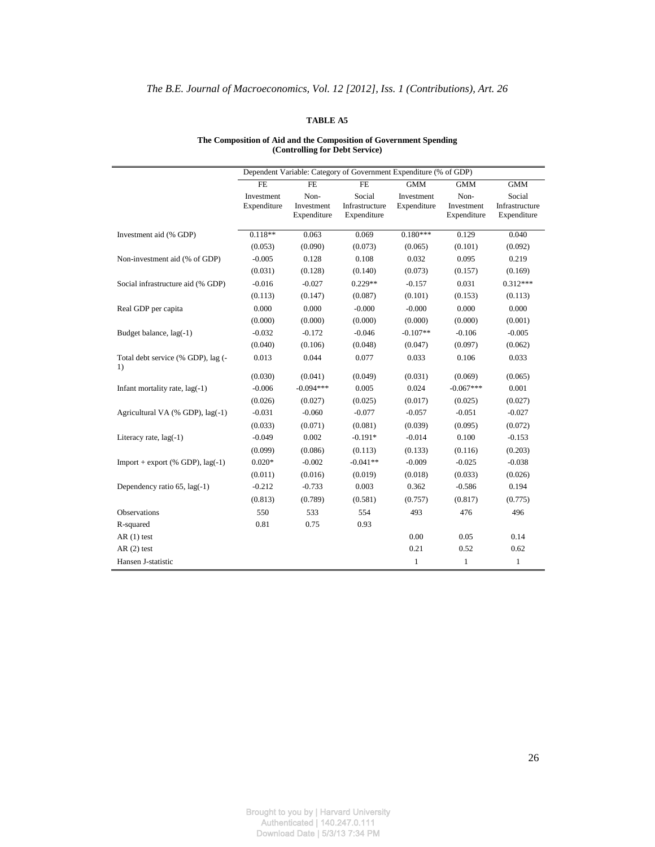## **TABLE A5**

#### **The Composition of Aid and the Composition of Government Spending (Controlling for Debt Service)**

|                                          |                           |                                   | Dependent Variable: Category of Government Expenditure (% of GDP) |                           |                                   |                                         |
|------------------------------------------|---------------------------|-----------------------------------|-------------------------------------------------------------------|---------------------------|-----------------------------------|-----------------------------------------|
|                                          | FE                        | FE                                | FE                                                                | <b>GMM</b>                | $\overline{\text{GMM}}$           | GMM                                     |
|                                          | Investment<br>Expenditure | Non-<br>Investment<br>Expenditure | Social<br>Infrastructure<br>Expenditure                           | Investment<br>Expenditure | Non-<br>Investment<br>Expenditure | Social<br>Infrastructure<br>Expenditure |
| Investment aid (% GDP)                   | $0.118**$                 | 0.063                             | 0.069                                                             | $0.180***$                | 0.129                             | 0.040                                   |
|                                          | (0.053)                   | (0.090)                           | (0.073)                                                           | (0.065)                   | (0.101)                           | (0.092)                                 |
| Non-investment aid (% of GDP)            | $-0.005$                  | 0.128                             | 0.108                                                             | 0.032                     | 0.095                             | 0.219                                   |
|                                          | (0.031)                   | (0.128)                           | (0.140)                                                           | (0.073)                   | (0.157)                           | (0.169)                                 |
| Social infrastructure aid (% GDP)        | $-0.016$                  | $-0.027$                          | $0.229**$                                                         | $-0.157$                  | 0.031                             | $0.312***$                              |
|                                          | (0.113)                   | (0.147)                           | (0.087)                                                           | (0.101)                   | (0.153)                           | (0.113)                                 |
| Real GDP per capita                      | 0.000                     | 0.000                             | $-0.000$                                                          | $-0.000$                  | 0.000                             | 0.000                                   |
|                                          | (0.000)                   | (0.000)                           | (0.000)                                                           | (0.000)                   | (0.000)                           | (0.001)                                 |
| Budget balance, lag(-1)                  | $-0.032$                  | $-0.172$                          | $-0.046$                                                          | $-0.107**$                | $-0.106$                          | $-0.005$                                |
|                                          | (0.040)                   | (0.106)                           | (0.048)                                                           | (0.047)                   | (0.097)                           | (0.062)                                 |
| Total debt service (% GDP), lag (-<br>1) | 0.013                     | 0.044                             | 0.077                                                             | 0.033                     | 0.106                             | 0.033                                   |
|                                          | (0.030)                   | (0.041)                           | (0.049)                                                           | (0.031)                   | (0.069)                           | (0.065)                                 |
| Infant mortality rate, lag(-1)           | $-0.006$                  | $-0.094***$                       | 0.005                                                             | 0.024                     | $-0.067***$                       | 0.001                                   |
|                                          | (0.026)                   | (0.027)                           | (0.025)                                                           | (0.017)                   | (0.025)                           | (0.027)                                 |
| Agricultural VA (% GDP), lag(-1)         | $-0.031$                  | $-0.060$                          | $-0.077$                                                          | $-0.057$                  | $-0.051$                          | $-0.027$                                |
|                                          | (0.033)                   | (0.071)                           | (0.081)                                                           | (0.039)                   | (0.095)                           | (0.072)                                 |
| Literacy rate, $lag(-1)$                 | $-0.049$                  | 0.002                             | $-0.191*$                                                         | $-0.014$                  | 0.100                             | $-0.153$                                |
|                                          | (0.099)                   | (0.086)                           | (0.113)                                                           | (0.133)                   | (0.116)                           | (0.203)                                 |
| Import + export $(%$ (% GDP), lag(-1)    | $0.020*$                  | $-0.002$                          | $-0.041**$                                                        | $-0.009$                  | $-0.025$                          | $-0.038$                                |
|                                          | (0.011)                   | (0.016)                           | (0.019)                                                           | (0.018)                   | (0.033)                           | (0.026)                                 |
| Dependency ratio 65, lag(-1)             | $-0.212$                  | $-0.733$                          | 0.003                                                             | 0.362                     | $-0.586$                          | 0.194                                   |
|                                          | (0.813)                   | (0.789)                           | (0.581)                                                           | (0.757)                   | (0.817)                           | (0.775)                                 |
| Observations                             | 550                       | 533                               | 554                                                               | 493                       | 476                               | 496                                     |
| R-squared                                | 0.81                      | 0.75                              | 0.93                                                              |                           |                                   |                                         |
| $AR(1)$ test                             |                           |                                   |                                                                   | 0.00                      | 0.05                              | 0.14                                    |
| $AR(2)$ test                             |                           |                                   |                                                                   | 0.21                      | 0.52                              | 0.62                                    |
| Hansen J-statistic                       |                           |                                   |                                                                   | $\mathbf{1}$              | $\mathbf{1}$                      | 1                                       |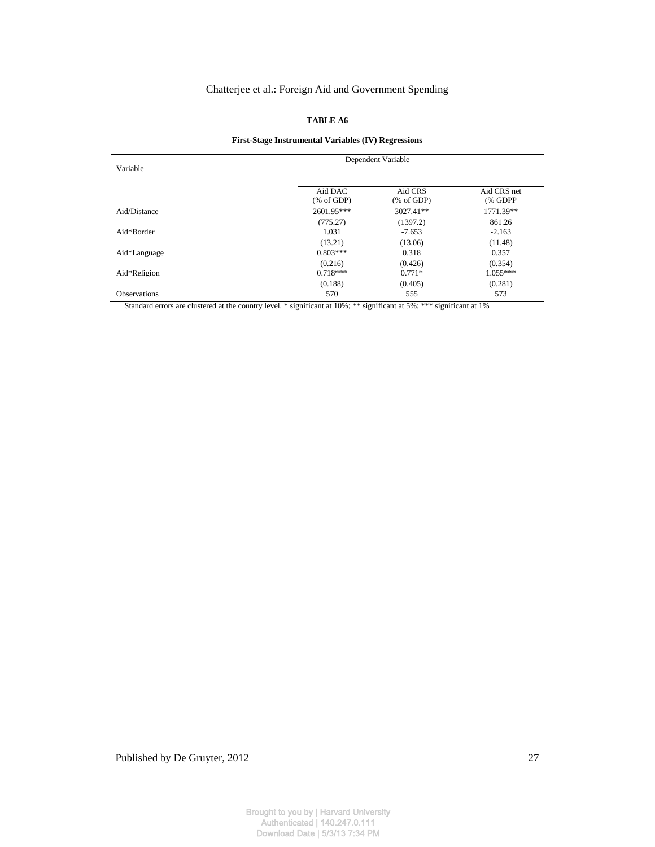## **TABLE A6**

## **First-Stage Instrumental Variables (IV) Regressions**

| Variable            | Dependent Variable  |                     |                        |  |  |  |
|---------------------|---------------------|---------------------|------------------------|--|--|--|
|                     | Aid DAC<br>% of GDP | Aid CRS<br>% of GDP | Aid CRS net<br>(% GDPP |  |  |  |
| Aid/Distance        | 2601.95***          | 3027.41**           | 1771.39**              |  |  |  |
|                     | (775.27)            | (1397.2)            | 861.26                 |  |  |  |
| Aid*Border          | 1.031               | $-7.653$            | $-2.163$               |  |  |  |
|                     | (13.21)             | (13.06)             | (11.48)                |  |  |  |
| Aid*Language        | $0.803***$          | 0.318               | 0.357                  |  |  |  |
|                     | (0.216)             | (0.426)             | (0.354)                |  |  |  |
| Aid*Religion        | $0.718***$          | $0.771*$            | $1.055***$             |  |  |  |
|                     | (0.188)             | (0.405)             | (0.281)                |  |  |  |
| <b>Observations</b> | 570                 | 555                 | 573                    |  |  |  |

Standard errors are clustered at the country level. \* significant at 10%; \*\* significant at 5%; \*\*\* significant at 1%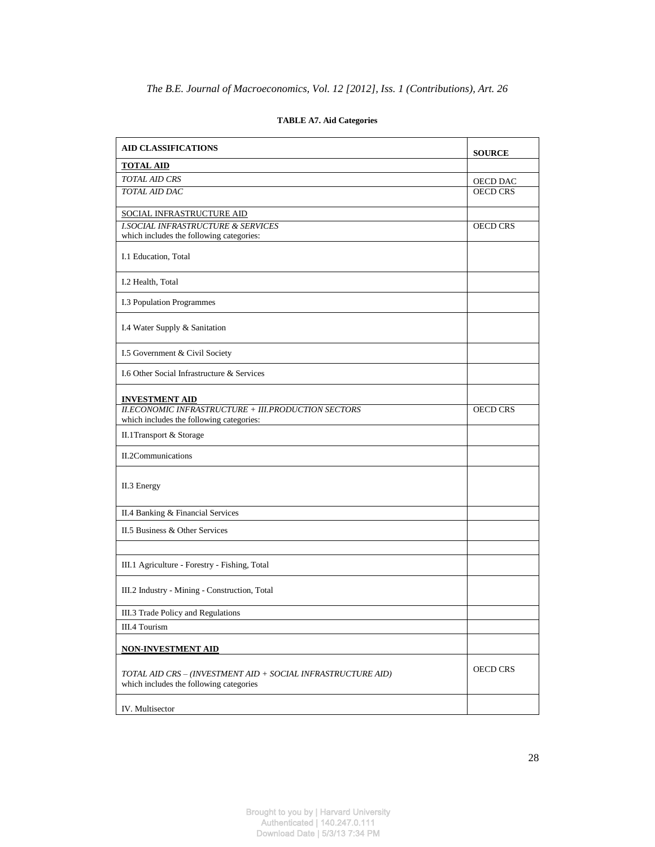| <b>AID CLASSIFICATIONS</b>                                                                              | <b>SOURCE</b>   |
|---------------------------------------------------------------------------------------------------------|-----------------|
| <b>TOTAL AID</b>                                                                                        |                 |
| <b>TOTAL AID CRS</b>                                                                                    | OECD DAC        |
| <b>TOTAL AID DAC</b>                                                                                    | <b>OECD CRS</b> |
| SOCIAL INFRASTRUCTURE AID                                                                               |                 |
| <b>I.SOCIAL INFRASTRUCTURE &amp; SERVICES</b><br>which includes the following categories:               | <b>OECD CRS</b> |
| I.1 Education, Total                                                                                    |                 |
| I.2 Health, Total                                                                                       |                 |
| I.3 Population Programmes                                                                               |                 |
| I.4 Water Supply & Sanitation                                                                           |                 |
| I.5 Government & Civil Society                                                                          |                 |
| I.6 Other Social Infrastructure & Services                                                              |                 |
| <b>INVESTMENT AID</b>                                                                                   |                 |
| <b>II.ECONOMIC INFRASTRUCTURE + III.PRODUCTION SECTORS</b><br>which includes the following categories:  | <b>OECD CRS</b> |
| II.1Transport & Storage                                                                                 |                 |
| II.2Communications                                                                                      |                 |
| II.3 Energy                                                                                             |                 |
| II.4 Banking & Financial Services                                                                       |                 |
| II.5 Business & Other Services                                                                          |                 |
| III.1 Agriculture - Forestry - Fishing, Total                                                           |                 |
| III.2 Industry - Mining - Construction, Total                                                           |                 |
| III.3 Trade Policy and Regulations                                                                      |                 |
| III.4 Tourism                                                                                           |                 |
| <b>NON-INVESTMENT AID</b>                                                                               |                 |
| TOTAL AID CRS - (INVESTMENT AID + SOCIAL INFRASTRUCTURE AID)<br>which includes the following categories | <b>OECD CRS</b> |
| IV. Multisector                                                                                         |                 |

## **TABLE A7. Aid Categories**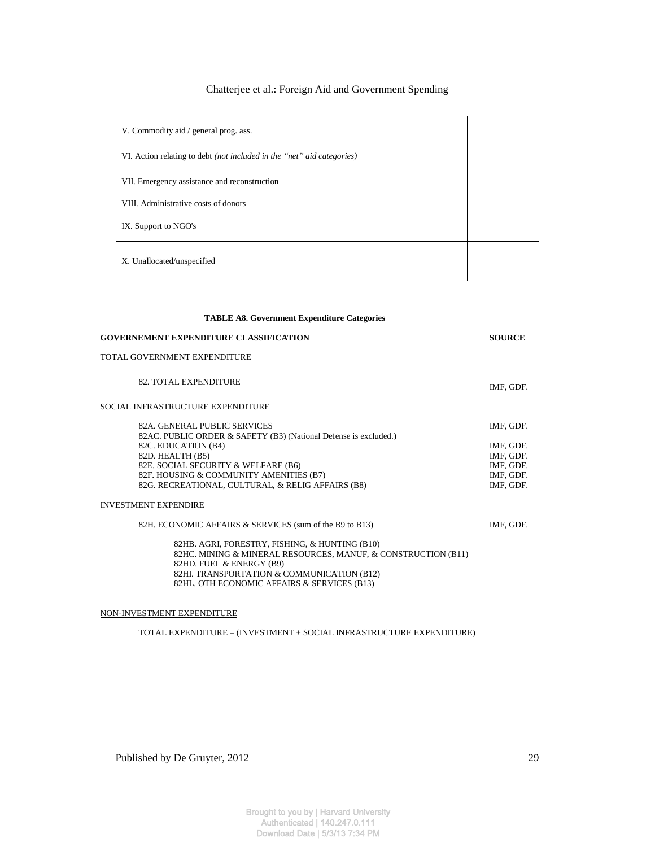| V. Commodity aid / general prog. ass.                                         |  |
|-------------------------------------------------------------------------------|--|
| VI. Action relating to debt <i>(not included in the "net" aid categories)</i> |  |
| VII. Emergency assistance and reconstruction                                  |  |
| VIII. Administrative costs of donors                                          |  |
| IX. Support to NGO's                                                          |  |
| X. Unallocated/unspecified                                                    |  |

| <b>TABLE A8. Government Expenditure Categories</b>                         |  |
|----------------------------------------------------------------------------|--|
| <b>SOURCE</b>                                                              |  |
|                                                                            |  |
| IMF, GDF.                                                                  |  |
|                                                                            |  |
| IMF. GDF.<br>IMF, GDF.<br>IMF, GDF.<br>IMF, GDF.<br>IMF, GDF.<br>IMF, GDF. |  |
|                                                                            |  |
| IMF, GDF.                                                                  |  |
|                                                                            |  |

#### NON-INVESTMENT EXPENDITURE

TOTAL EXPENDITURE – (INVESTMENT + SOCIAL INFRASTRUCTURE EXPENDITURE)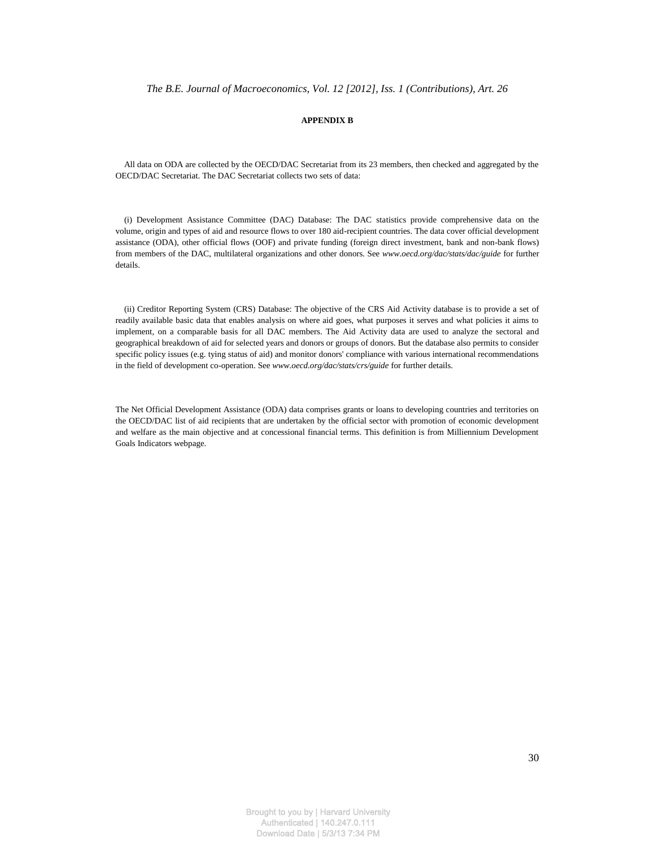#### **APPENDIX B**

 All data on ODA are collected by the OECD/DAC Secretariat from its 23 members, then checked and aggregated by the OECD/DAC Secretariat. The DAC Secretariat collects two sets of data:

 (i) Development Assistance Committee (DAC) Database: The DAC statistics provide comprehensive data on the volume, origin and types of aid and resource flows to over 180 aid-recipient countries. The data cover official development assistance (ODA), other official flows (OOF) and private funding (foreign direct investment, bank and non-bank flows) from members of the DAC, multilateral organizations and other donors. See *www.oecd.org/dac/stats/dac/guide* for further details.

 (ii) Creditor Reporting System (CRS) Database: The objective of the CRS Aid Activity database is to provide a set of readily available basic data that enables analysis on where aid goes, what purposes it serves and what policies it aims to implement, on a comparable basis for all DAC members. The Aid Activity data are used to analyze the sectoral and geographical breakdown of aid for selected years and donors or groups of donors. But the database also permits to consider specific policy issues (e.g. tying status of aid) and monitor donors' compliance with various international recommendations in the field of development co-operation. See *www.oecd.org/dac/stats/crs/guide* for further details.

The Net Official Development Assistance (ODA) data comprises grants or loans to developing countries and territories on the OECD/DAC list of aid recipients that are undertaken by the official sector with promotion of economic development and welfare as the main objective and at concessional financial terms. This definition is from Milliennium Development Goals Indicators webpage.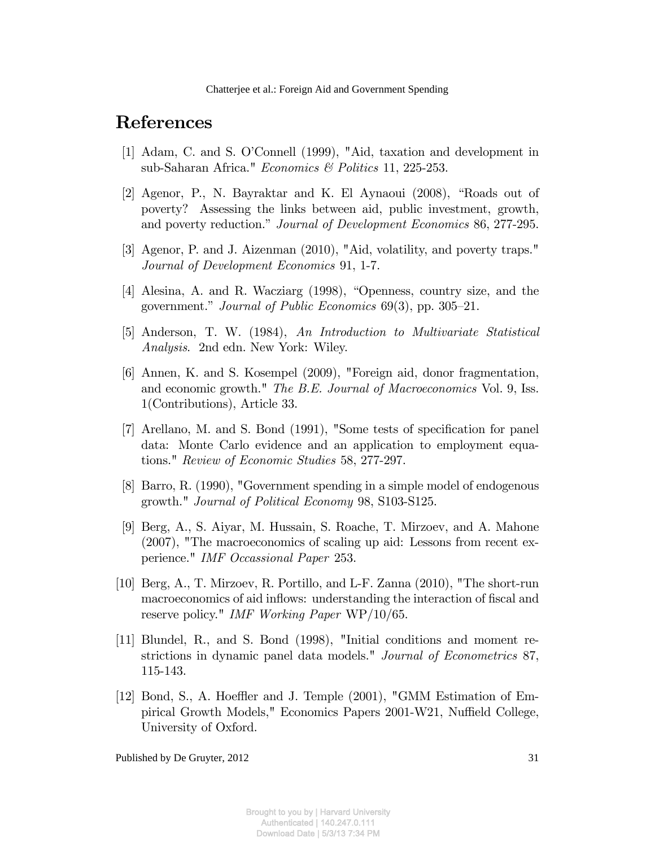## References

- [1] Adam, C. and S. O'Connell (1999), "Aid, taxation and development in sub-Saharan Africa." Economics & Politics 11, 225-253.
- [2] Agenor, P., N. Bayraktar and K. El Aynaoui  $(2008)$ , "Roads out of poverty? Assessing the links between aid, public investment, growth, and poverty reduction." Journal of Development Economics 86, 277-295.
- [3] Agenor, P. and J. Aizenman (2010), "Aid, volatility, and poverty traps." Journal of Development Economics 91, 1-7.
- [4] Alesina, A. and R. Wacziarg  $(1998)$ , "Openness, country size, and the government." Journal of Public Economics  $69(3)$ , pp.  $305-21$ .
- [5] Anderson, T. W. (1984), An Introduction to Multivariate Statistical Analysis. 2nd edn. New York: Wiley.
- [6] Annen, K. and S. Kosempel (2009), "Foreign aid, donor fragmentation, and economic growth." The B.E. Journal of Macroeconomics Vol. 9, Iss. 1(Contributions), Article 33.
- [7] Arellano, M. and S. Bond (1991), "Some tests of specification for panel data: Monte Carlo evidence and an application to employment equations." Review of Economic Studies 58, 277-297.
- [8] Barro, R. (1990), "Government spending in a simple model of endogenous growth." Journal of Political Economy 98, S103-S125.
- [9] Berg, A., S. Aiyar, M. Hussain, S. Roache, T. Mirzoev, and A. Mahone (2007), "The macroeconomics of scaling up aid: Lessons from recent experience." IMF Occassional Paper 253.
- [10] Berg, A., T. Mirzoev, R. Portillo, and L-F. Zanna (2010), "The short-run macroeconomics of aid inflows: understanding the interaction of fiscal and reserve policy." IMF Working Paper WP/10/65.
- [11] Blundel, R., and S. Bond (1998), "Initial conditions and moment restrictions in dynamic panel data models." Journal of Econometrics 87, 115-143.
- [12] Bond, S., A. Hoeffler and J. Temple (2001), "GMM Estimation of Empirical Growth Models," Economics Papers 2001-W21, Nuffield College, University of Oxford.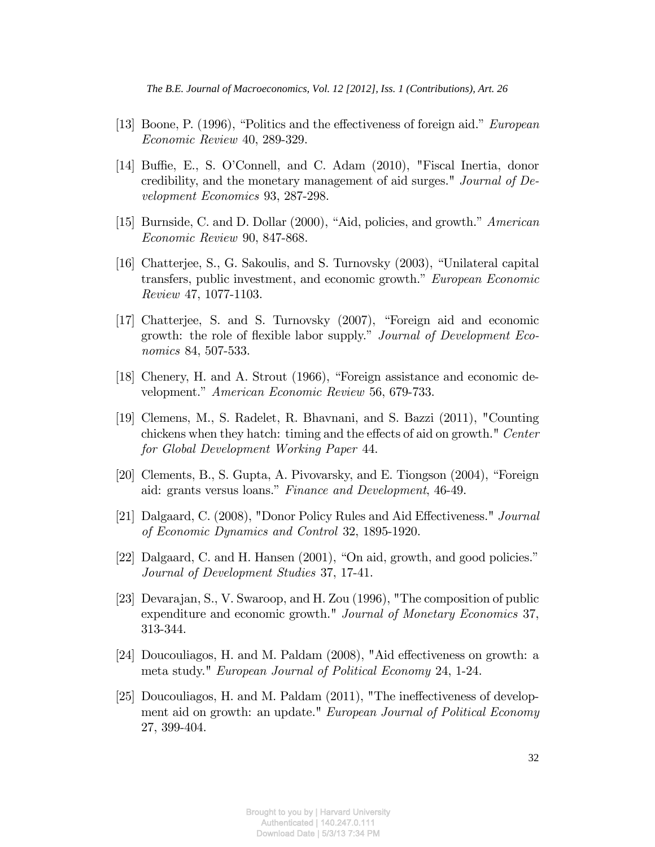- [13] Boone, P. (1996), "Politics and the effectiveness of foreign aid." *European* Economic Review 40, 289-329.
- [14] Buffie, E., S. O'Connell, and C. Adam (2010), "Fiscal Inertia, donor credibility, and the monetary management of aid surges." Journal of Development Economics 93, 287-298.
- [15] Burnside, C. and D. Dollar  $(2000)$ , "Aid, policies, and growth." American Economic Review 90, 847-868.
- [16] Chatterjee, S., G. Sakoulis, and S. Turnovsky (2003), "Unilateral capital transfers, public investment, and economic growth." European Economic Review 47, 1077-1103.
- [17] Chatterjee, S. and S. Turnovsky (2007), "Foreign aid and economic growth: the role of flexible labor supply." Journal of Development Economics 84, 507-533.
- [18] Chenery, H. and A. Strout  $(1966)$ , "Foreign assistance and economic development." American Economic Review 56, 679-733.
- [19] Clemens, M., S. Radelet, R. Bhavnani, and S. Bazzi (2011), "Counting chickens when they hatch: timing and the effects of aid on growth." Center for Global Development Working Paper 44.
- [20] Clements, B., S. Gupta, A. Pivovarsky, and E. Tiongson  $(2004)$ , "Foreign aid: grants versus loans." Finance and Development, 46-49.
- [21] Dalgaard, C. (2008), "Donor Policy Rules and Aid Effectiveness." Journal of Economic Dynamics and Control 32, 1895-1920.
- [22] Dalgaard, C. and H. Hansen  $(2001)$ , "On aid, growth, and good policies." Journal of Development Studies 37, 17-41.
- [23] Devarajan, S., V. Swaroop, and H. Zou (1996), "The composition of public expenditure and economic growth." Journal of Monetary Economics 37, 313-344.
- [24] Doucouliagos, H. and M. Paldam  $(2008)$ , "Aid effectiveness on growth: a meta study." European Journal of Political Economy 24, 1-24.
- [25] Doucouliagos, H. and M. Paldam  $(2011)$ , "The ineffectiveness of development aid on growth: an update." European Journal of Political Economy 27, 399-404.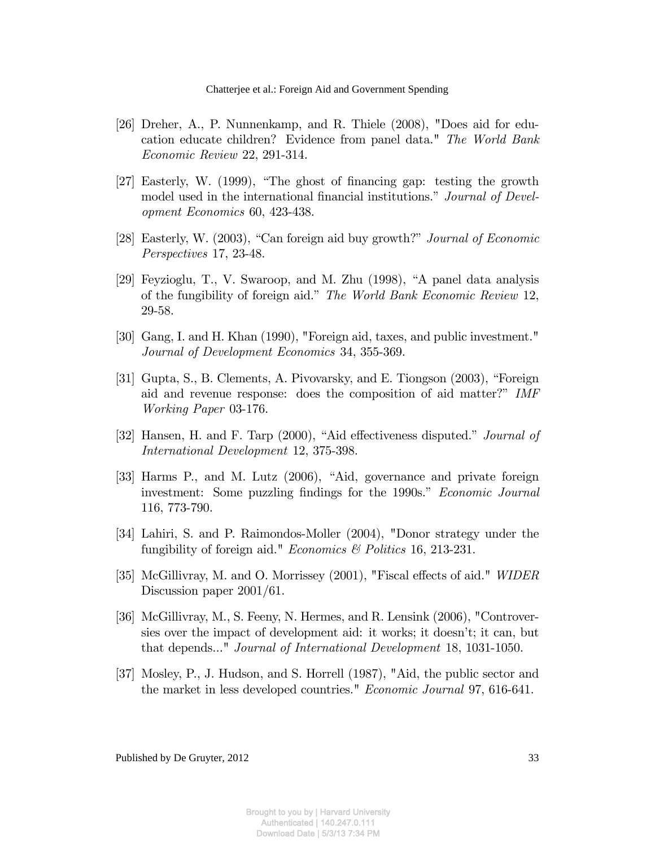- [26] Dreher, A., P. Nunnenkamp, and R. Thiele (2008), "Does aid for education educate children? Evidence from panel data." The World Bank Economic Review 22, 291-314.
- [27] Easterly, W.  $(1999)$ , "The ghost of financing gap: testing the growth model used in the international financial institutions." Journal of Development Economics 60, 423-438.
- [28] Easterly, W. (2003), "Can foreign aid buy growth?" *Journal of Economic* Perspectives 17, 23-48.
- [29] Feyzioglu, T., V. Swaroop, and M. Zhu  $(1998)$ , "A panel data analysis of the fungibility of foreign aid." The World Bank Economic Review 12, 29-58.
- [30] Gang, I. and H. Khan (1990), "Foreign aid, taxes, and public investment." Journal of Development Economics 34, 355-369.
- [31] Gupta, S., B. Clements, A. Pivovarsky, and E. Tiongson  $(2003)$ , "Foreign aid and revenue response: does the composition of aid matter?" IMF Working Paper 03-176.
- [32] Hansen, H. and F. Tarp (2000), "Aid effectiveness disputed." *Journal of* International Development 12, 375-398.
- [33] Harms P., and M. Lutz (2006), "Aid, governance and private foreign investment: Some puzzling findings for the 1990s." Economic Journal 116, 773-790.
- [34] Lahiri, S. and P. Raimondos-Moller (2004), "Donor strategy under the fungibility of foreign aid." *Economics & Politics* 16, 213-231.
- [35] McGillivray, M. and O. Morrissey (2001), "Fiscal effects of aid." WIDER Discussion paper 2001/61.
- [36] McGillivray, M., S. Feeny, N. Hermes, and R. Lensink (2006), "Controversies over the impact of development aid: it works; it doesnít; it can, but that depends..." Journal of International Development 18, 1031-1050.
- [37] Mosley, P., J. Hudson, and S. Horrell (1987), "Aid, the public sector and the market in less developed countries." Economic Journal 97, 616-641.